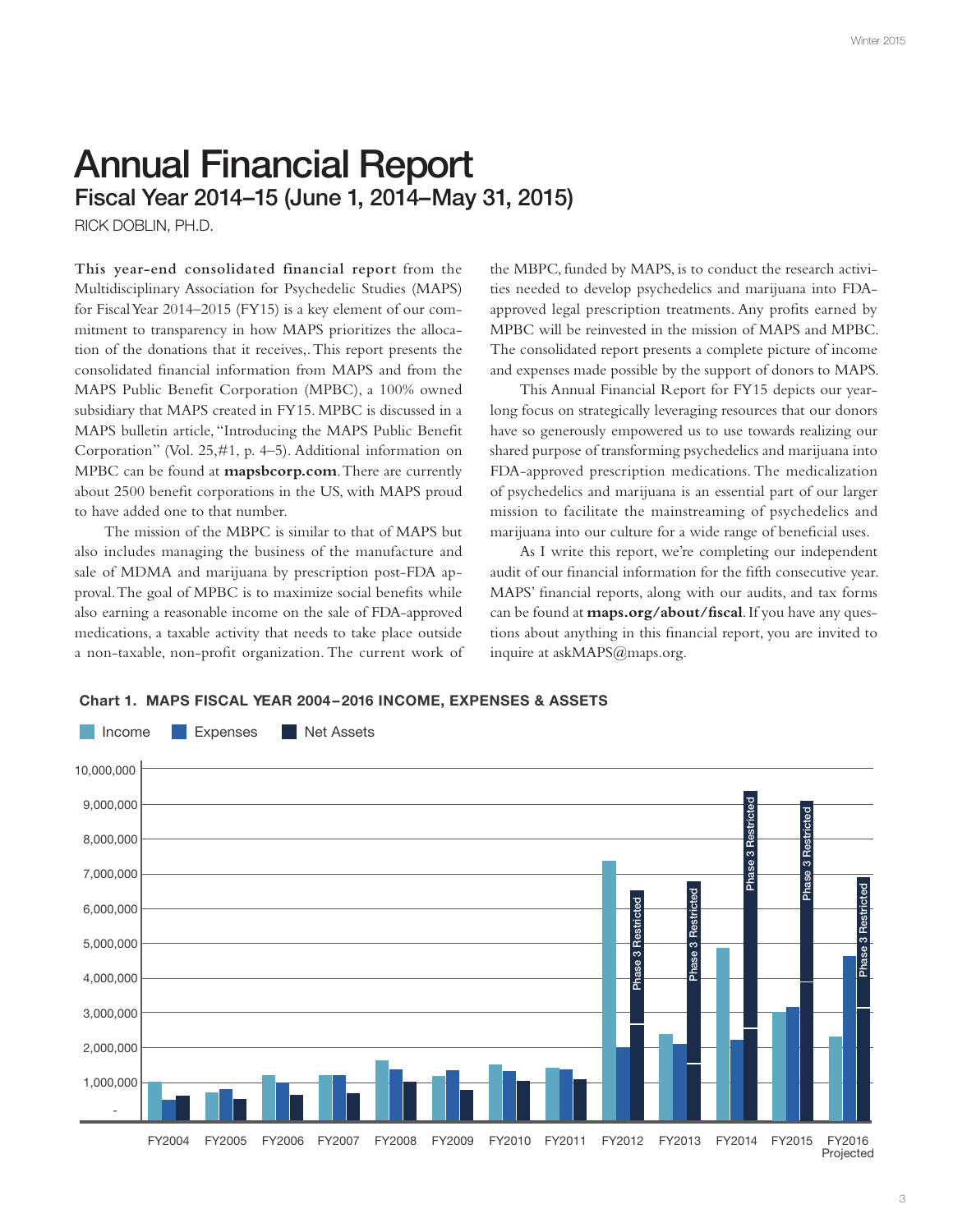# Annual Financial Report Fiscal Year 2014–15 (June 1, 2014–May 31, 2015)

RICK DOBLIN, PH.D.

**This year-end consolidated financial report** from the Multidisciplinary Association for Psychedelic Studies (MAPS) for Fiscal Year 2014–2015 (FY15) is a key element of our commitment to transparency in how MAPS prioritizes the allocation of the donations that it receives,. This report presents the consolidated fnancial information from MAPS and from the MAPS Public Beneft Corporation (MPBC), a 100% owned subsidiary that MAPS created in FY15. MPBC is discussed in a MAPS bulletin article, "Introducing the MAPS Public Beneft Corporation" (Vol. 25,#1, p. 4–5). Additional information on MPBC can be found at **mapsbcorp.com**. There are currently about 2500 beneft corporations in the US, with MAPS proud to have added one to that number.

The mission of the MBPC is similar to that of MAPS but also includes managing the business of the manufacture and sale of MDMA and marijuana by prescription post-FDA approval. The goal of MPBC is to maximize social benefts while also earning a reasonable income on the sale of FDA-approved medications, a taxable activity that needs to take place outside a non-taxable, non-proft organization. The current work of the MBPC, funded by MAPS, is to conduct the research activities needed to develop psychedelics and marijuana into FDAapproved legal prescription treatments. Any profits earned by MPBC will be reinvested in the mission of MAPS and MPBC. The consolidated report presents a complete picture of income and expenses made possible by the support of donors to MAPS.

This Annual Financial Report for FY15 depicts our yearlong focus on strategically leveraging resources that our donors have so generously empowered us to use towards realizing our shared purpose of transforming psychedelics and marijuana into FDA-approved prescription medications. The medicalization of psychedelics and marijuana is an essential part of our larger mission to facilitate the mainstreaming of psychedelics and marijuana into our culture for a wide range of benefcial uses.

As I write this report, we're completing our independent audit of our fnancial information for the ffth consecutive year. MAPS' fnancial reports, along with our audits, and tax forms can be found at **maps.org/about/fscal**. If you have any questions about anything in this fnancial report, you are invited to inquire at askMAPS@maps.org.

Chart 1. MAPS FISCAL YEAR 2004–2016 INCOME, EXPENSES & ASSETS

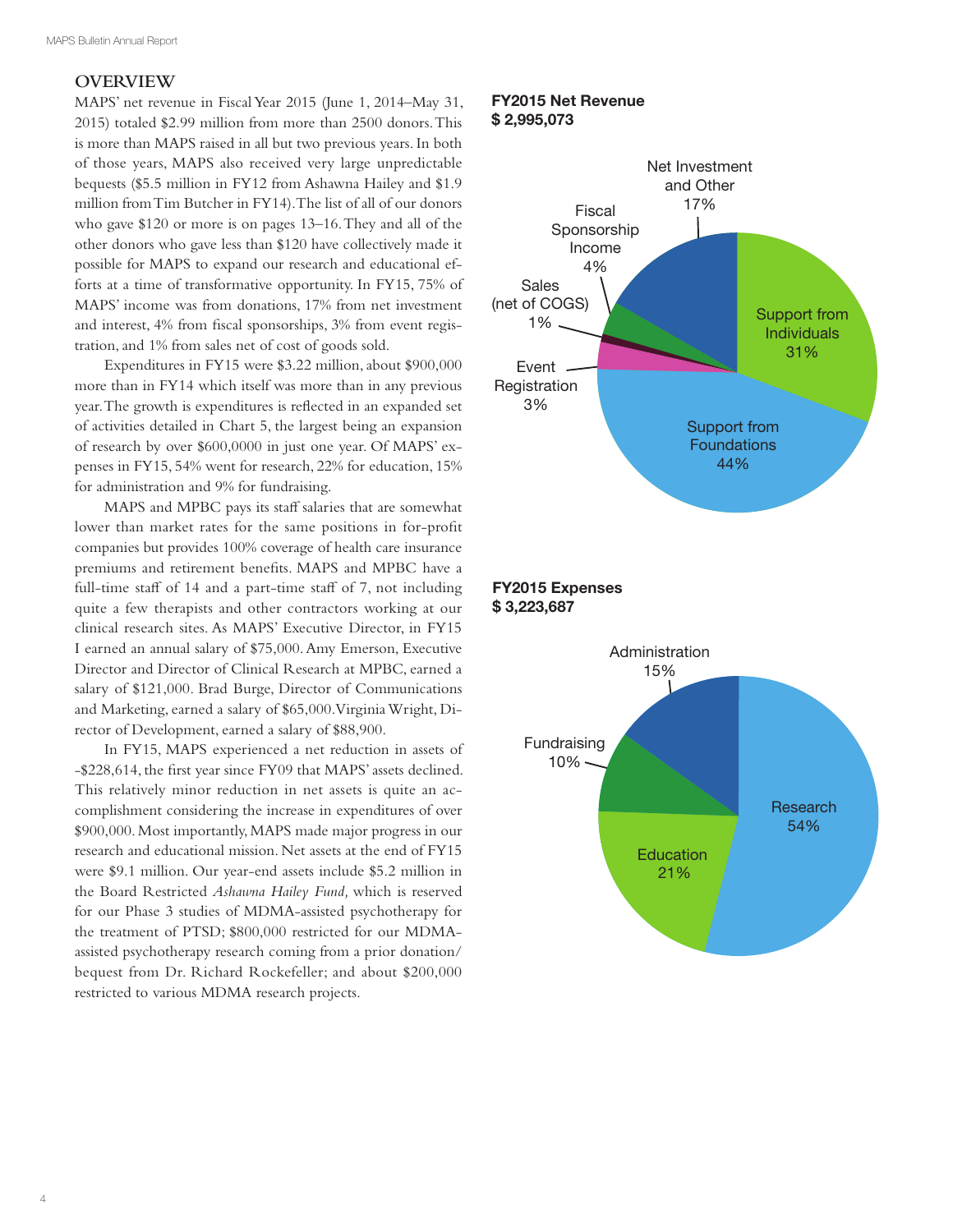#### **OVERVIEW**

MAPS' net revenue in Fiscal Year 2015 (June 1, 2014–May 31, 2015) totaled \$2.99 million from more than 2500 donors. This is more than MAPS raised in all but two previous years. In both of those years, MAPS also received very large unpredictable bequests (\$5.5 million in FY12 from Ashawna Hailey and \$1.9 million from Tim Butcher in FY14). The list of all of our donors who gave \$120 or more is on pages 13–16. They and all of the other donors who gave less than \$120 have collectively made it possible for MAPS to expand our research and educational efforts at a time of transformative opportunity. In FY15, 75% of MAPS' income was from donations, 17% from net investment and interest, 4% from fscal sponsorships, 3% from event registration, and 1% from sales net of cost of goods sold.

Expenditures in FY15 were \$3.22 million, about \$900,000 more than in FY14 which itself was more than in any previous year. The growth is expenditures is refected in an expanded set of activities detailed in Chart 5, the largest being an expansion of research by over \$600,0000 in just one year. Of MAPS' expenses in FY15, 54% went for research, 22% for education, 15% for administration and 9% for fundraising.

MAPS and MPBC pays its staff salaries that are somewhat lower than market rates for the same positions in for-proft companies but provides 100% coverage of health care insurance premiums and retirement benefts. MAPS and MPBC have a full-time staff of 14 and a part-time staff of 7, not including quite a few therapists and other contractors working at our clinical research sites. As MAPS' Executive Director, in FY15 I earned an annual salary of \$75,000. Amy Emerson, Executive Director and Director of Clinical Research at MPBC, earned a salary of \$121,000. Brad Burge, Director of Communications and Marketing, earned a salary of \$65,000. Virginia Wright, Director of Development, earned a salary of \$88,900.

In FY15, MAPS experienced a net reduction in assets of -\$228,614, the frst year since FY09 that MAPS' assets declined. This relatively minor reduction in net assets is quite an accomplishment considering the increase in expenditures of over \$900,000. Most importantly, MAPS made major progress in our research and educational mission. Net assets at the end of FY15 were \$9.1 million. Our year-end assets include \$5.2 million in the Board Restricted *Ashawna Hailey Fund,* which is reserved for our Phase 3 studies of MDMA-assisted psychotherapy for the treatment of PTSD; \$800,000 restricted for our MDMAassisted psychotherapy research coming from a prior donation/ bequest from Dr. Richard Rockefeller; and about \$200,000 restricted to various MDMA research projects.

#### FY2015 Net Revenue \$ 2,995,073



#### FY2015 Expenses \$ 3,223,687

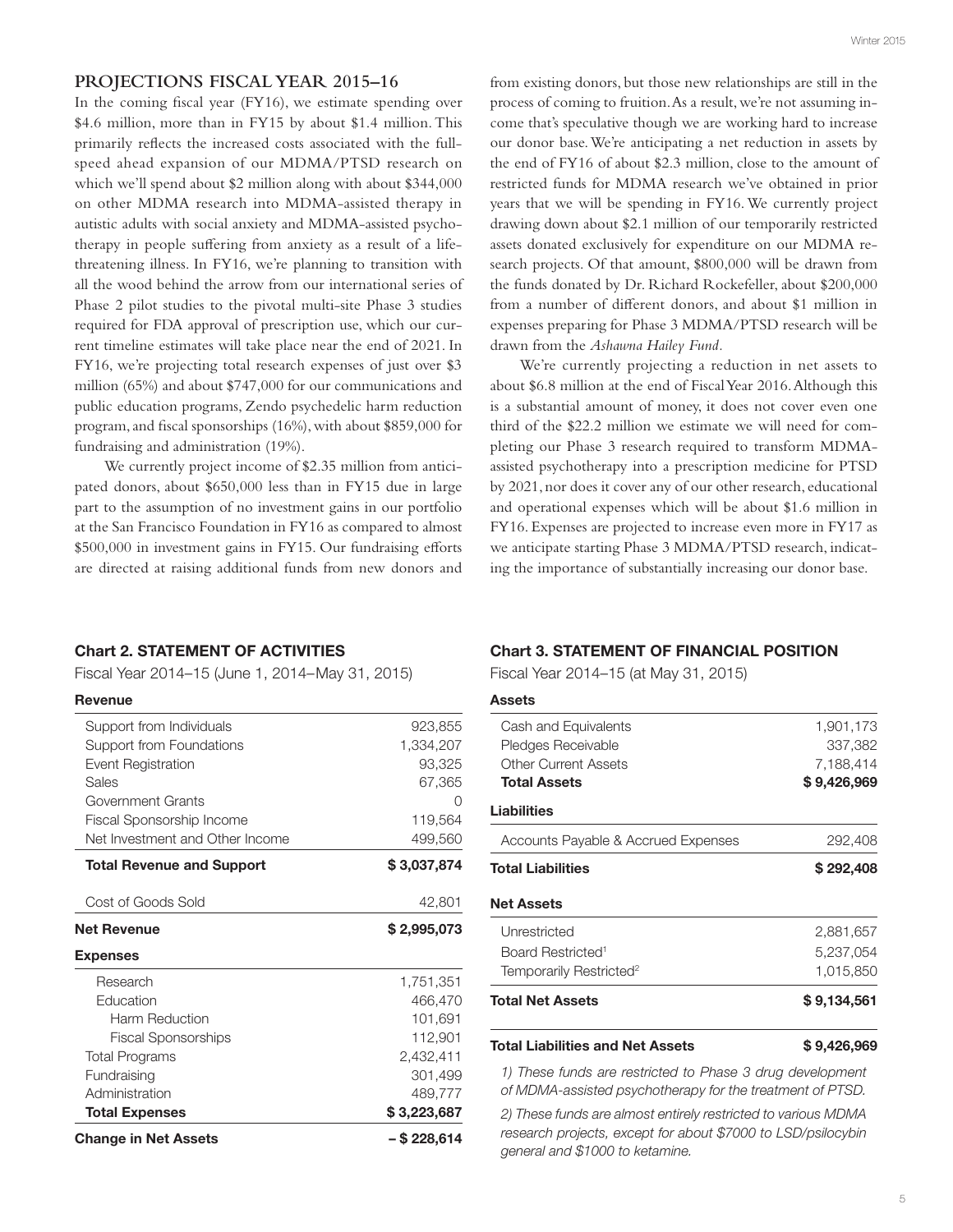#### **PROJECTIONS FISCAL YEAR 2015–16**

In the coming fscal year (FY16), we estimate spending over \$4.6 million, more than in FY15 by about \$1.4 million. This primarily refects the increased costs associated with the fullspeed ahead expansion of our MDMA/PTSD research on which we'll spend about \$2 million along with about \$344,000 on other MDMA research into MDMA-assisted therapy in autistic adults with social anxiety and MDMA-assisted psychotherapy in people sufering from anxiety as a result of a lifethreatening illness. In FY16, we're planning to transition with all the wood behind the arrow from our international series of Phase 2 pilot studies to the pivotal multi-site Phase 3 studies required for FDA approval of prescription use, which our current timeline estimates will take place near the end of 2021. In FY16, we're projecting total research expenses of just over \$3 million (65%) and about \$747,000 for our communications and public education programs, Zendo psychedelic harm reduction program, and fscal sponsorships (16%), with about \$859,000 for fundraising and administration (19%).

We currently project income of \$2.35 million from anticipated donors, about \$650,000 less than in FY15 due in large part to the assumption of no investment gains in our portfolio at the San Francisco Foundation in FY16 as compared to almost \$500,000 in investment gains in FY15. Our fundraising eforts are directed at raising additional funds from new donors and

#### Chart 2. STATEMENT OF ACTIVITIES

Fiscal Year 2014–15 (June 1, 2014– May 31, 2015)

#### Revenue

| <b>Change in Net Assets</b>      | - \$ 228,614 |
|----------------------------------|--------------|
| <b>Total Expenses</b>            | \$3,223,687  |
| Administration                   | 489,777      |
| Fundraising                      | 301,499      |
| <b>Total Programs</b>            | 2,432,411    |
| <b>Fiscal Sponsorships</b>       | 112,901      |
| Harm Reduction                   | 101,691      |
| Education                        | 466,470      |
| Research                         | 1,751,351    |
| <b>Expenses</b>                  |              |
| <b>Net Revenue</b>               | \$2,995,073  |
| Cost of Goods Sold               | 42,801       |
| <b>Total Revenue and Support</b> | \$3,037,874  |
| Net Investment and Other Income  | 499,560      |
| Fiscal Sponsorship Income        | 119,564      |
| Government Grants                |              |
| Sales                            | 67,365       |
| <b>Event Registration</b>        | 93,325       |
| Support from Foundations         | 1,334,207    |
| Support from Individuals         | 923,855      |

from existing donors, but those new relationships are still in the process of coming to fruition. As a result, we're not assuming income that's speculative though we are working hard to increase our donor base. We're anticipating a net reduction in assets by the end of FY16 of about \$2.3 million, close to the amount of restricted funds for MDMA research we've obtained in prior years that we will be spending in FY16. We currently project drawing down about \$2.1 million of our temporarily restricted assets donated exclusively for expenditure on our MDMA research projects. Of that amount, \$800,000 will be drawn from the funds donated by Dr. Richard Rockefeller, about \$200,000 from a number of diferent donors, and about \$1 million in expenses preparing for Phase 3 MDMA/PTSD research will be drawn from the *Ashawna Hailey Fund.* 

We're currently projecting a reduction in net assets to about \$6.8 million at the end of Fiscal Year 2016. Although this is a substantial amount of money, it does not cover even one third of the \$22.2 million we estimate we will need for completing our Phase 3 research required to transform MDMAassisted psychotherapy into a prescription medicine for PTSD by 2021, nor does it cover any of our other research, educational and operational expenses which will be about \$1.6 million in FY16. Expenses are projected to increase even more in FY17 as we anticipate starting Phase 3 MDMA/PTSD research, indicating the importance of substantially increasing our donor base.

#### Chart 3. STATEMENT OF FINANCIAL POSITION

Fiscal Year 2014–15 (at May 31, 2015)

| <b>Assets</b>                       |             |
|-------------------------------------|-------------|
| Cash and Equivalents                | 1,901,173   |
| Pledges Receivable                  | 337,382     |
| <b>Other Current Assets</b>         | 7,188,414   |
| <b>Total Assets</b>                 | \$9,426,969 |
| Liabilities                         |             |
| Accounts Payable & Accrued Expenses | 292,408     |
| <b>Total Liabilities</b>            | \$292,408   |
| <b>Net Assets</b>                   |             |
| Unrestricted                        | 2,881,657   |
| Board Restricted <sup>1</sup>       | 5,237,054   |
| Temporarily Restricted <sup>2</sup> | 1.015.850   |
| Total Net Assets                    | \$9,134,561 |
|                                     |             |

#### Total Liabilities and Net Assets \$9,426,969

*1) These funds are restricted to Phase 3 drug development of MDMA-assisted psychotherapy for the treatment of PTSD.* 

*2) These funds are almost entirely restricted to various MDMA research projects, except for about \$7000 to LSD/psilocybin general and \$1000 to ketamine.*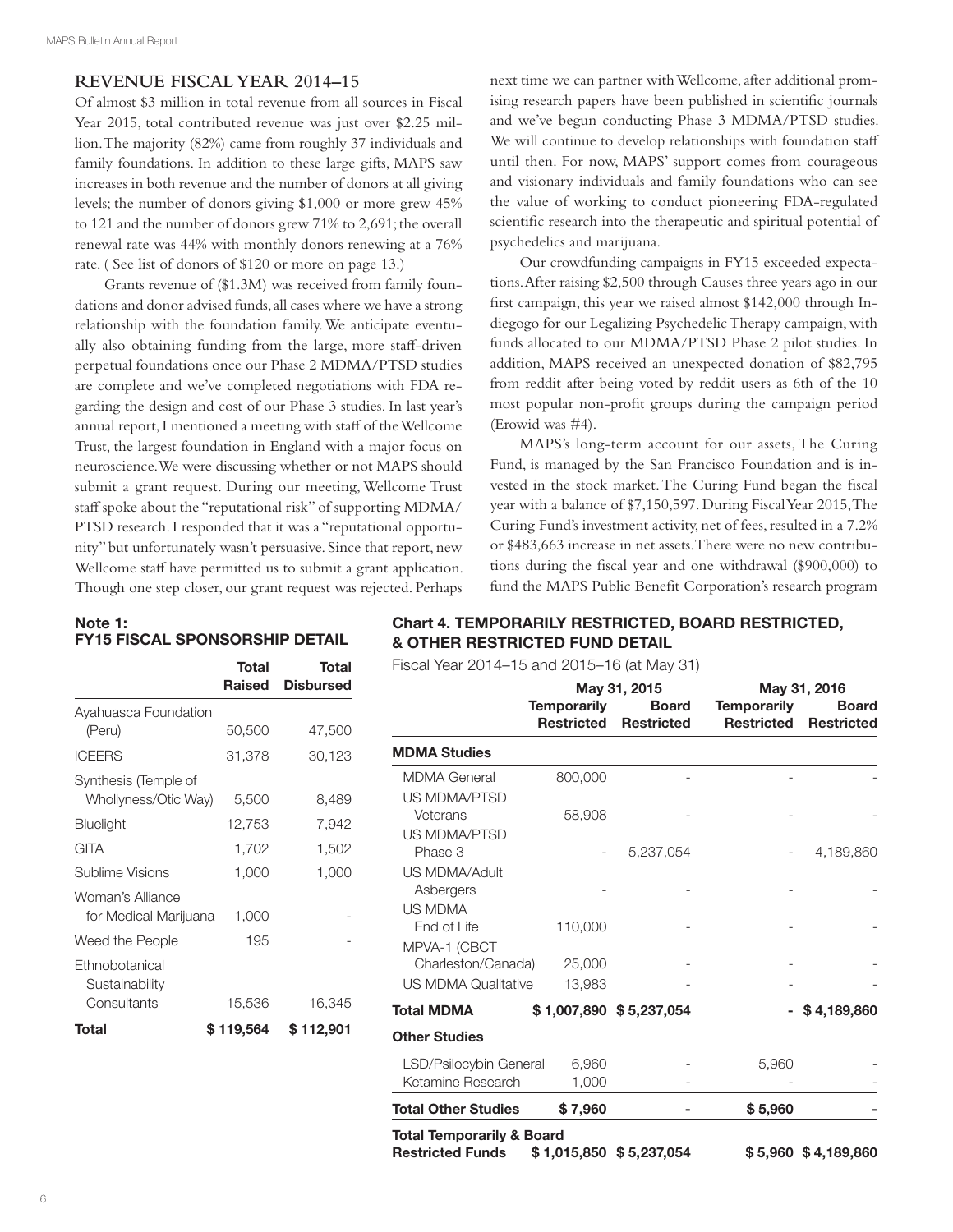#### **REVENUE FISCAL YEAR 2014–15**

Of almost \$3 million in total revenue from all sources in Fiscal Year 2015, total contributed revenue was just over \$2.25 million. The majority (82%) came from roughly 37 individuals and family foundations. In addition to these large gifts, MAPS saw increases in both revenue and the number of donors at all giving levels; the number of donors giving \$1,000 or more grew 45% to 121 and the number of donors grew 71% to 2,691; the overall renewal rate was 44% with monthly donors renewing at a 76% rate. ( See list of donors of \$120 or more on page 13.)

Grants revenue of (\$1.3M) was received from family foundations and donor advised funds, all cases where we have a strong relationship with the foundation family. We anticipate eventually also obtaining funding from the large, more staf-driven perpetual foundations once our Phase 2 MDMA/PTSD studies are complete and we've completed negotiations with FDA regarding the design and cost of our Phase 3 studies. In last year's annual report, I mentioned a meeting with staf of the Wellcome Trust, the largest foundation in England with a major focus on neuroscience. We were discussing whether or not MAPS should submit a grant request. During our meeting, Wellcome Trust staff spoke about the "reputational risk" of supporting MDMA/ PTSD research. I responded that it was a "reputational opportunity" but unfortunately wasn't persuasive. Since that report, new Wellcome staff have permitted us to submit a grant application. Though one step closer, our grant request was rejected. Perhaps

next time we can partner with Wellcome, after additional promising research papers have been published in scientifc journals and we've begun conducting Phase 3 MDMA/PTSD studies. We will continue to develop relationships with foundation staff until then. For now, MAPS' support comes from courageous and visionary individuals and family foundations who can see the value of working to conduct pioneering FDA-regulated scientifc research into the therapeutic and spiritual potential of psychedelics and marijuana.

Our crowdfunding campaigns in FY15 exceeded expectations. After raising \$2,500 through Causes three years ago in our frst campaign, this year we raised almost \$142,000 through Indiegogo for our Legalizing Psychedelic Therapy campaign, with funds allocated to our MDMA/PTSD Phase 2 pilot studies. In addition, MAPS received an unexpected donation of \$82,795 from reddit after being voted by reddit users as 6th of the 10 most popular non-proft groups during the campaign period (Erowid was #4).

MAPS's long-term account for our assets, The Curing Fund, is managed by the San Francisco Foundation and is invested in the stock market. The Curing Fund began the fscal year with a balance of \$7,150,597. During Fiscal Year 2015, The Curing Fund's investment activity, net of fees, resulted in a 7.2% or \$483,663 increase in net assets. There were no new contributions during the fscal year and one withdrawal (\$900,000) to fund the MAPS Public Beneft Corporation's research program

#### Note 1: FY15 FISCAL SPONSORSHIP DETAIL

|                                  | Total<br>Raised | Total<br><b>Disbursed</b> |
|----------------------------------|-----------------|---------------------------|
| Ayahuasca Foundation             |                 |                           |
| (Peru)                           | 50,500          | 47,500                    |
| <b>ICEERS</b>                    | 31,378          | 30,123                    |
| Synthesis (Temple of             |                 |                           |
| Whollyness/Otic Way)             | 5,500           | 8,489                     |
| Bluelight                        | 12,753          | 7,942                     |
| GITA                             | 1,702           | 1,502                     |
| Sublime Visions                  | 1,000           | 1,000                     |
| Woman's Alliance                 |                 |                           |
| for Medical Marijuana            | 1,000           |                           |
| Weed the People                  | 195             |                           |
| Ethnobotanical<br>Sustainability |                 |                           |
| Consultants                      | 15,536          | 16,345                    |
| Total                            | \$119,564       | \$ 112,901                |

#### Chart 4. TEMPORARILY RESTRICTED, BOARD RESTRICTED, & OTHER RESTRICTED FUND DETAIL

Fiscal Year 2014–15 and 2015–16 (at May 31)

|                                                                 |                                  | May 31, 2015                      |                                         | May 31, 2016                      |
|-----------------------------------------------------------------|----------------------------------|-----------------------------------|-----------------------------------------|-----------------------------------|
|                                                                 | <b>Temporarily</b><br>Restricted | <b>Board</b><br><b>Restricted</b> | <b>Temporarily</b><br><b>Restricted</b> | <b>Board</b><br><b>Restricted</b> |
| <b>MDMA Studies</b>                                             |                                  |                                   |                                         |                                   |
| <b>MDMA General</b>                                             | 800,000                          |                                   |                                         |                                   |
| <b>US MDMA/PTSD</b>                                             |                                  |                                   |                                         |                                   |
| Veterans                                                        | 58,908                           |                                   |                                         |                                   |
| <b>US MDMA/PTSD</b>                                             |                                  |                                   |                                         |                                   |
| Phase 3                                                         |                                  | 5,237,054                         |                                         | 4,189,860                         |
| <b>US MDMA/Adult</b>                                            |                                  |                                   |                                         |                                   |
| Asbergers                                                       |                                  |                                   |                                         |                                   |
| <b>US MDMA</b>                                                  |                                  |                                   |                                         |                                   |
| End of Life                                                     | 110,000                          |                                   |                                         |                                   |
| MPVA-1 (CBCT                                                    |                                  |                                   |                                         |                                   |
| Charleston/Canada)                                              | 25,000                           |                                   |                                         |                                   |
| <b>US MDMA Qualitative</b>                                      | 13,983                           |                                   |                                         |                                   |
| <b>Total MDMA</b>                                               |                                  | $$1,007,890$ $$5,237,054$         |                                         | \$4,189,860                       |
| <b>Other Studies</b>                                            |                                  |                                   |                                         |                                   |
| LSD/Psilocybin General                                          | 6,960                            |                                   | 5,960                                   |                                   |
| Ketamine Research                                               | 1,000                            |                                   |                                         |                                   |
| <b>Total Other Studies</b>                                      | \$7,960                          |                                   | \$5,960                                 |                                   |
| <b>Total Temporarily &amp; Board</b><br><b>Restricted Funds</b> |                                  | $$1,015,850$ $$5,237,054$         |                                         | \$5,960 \$4,189,860               |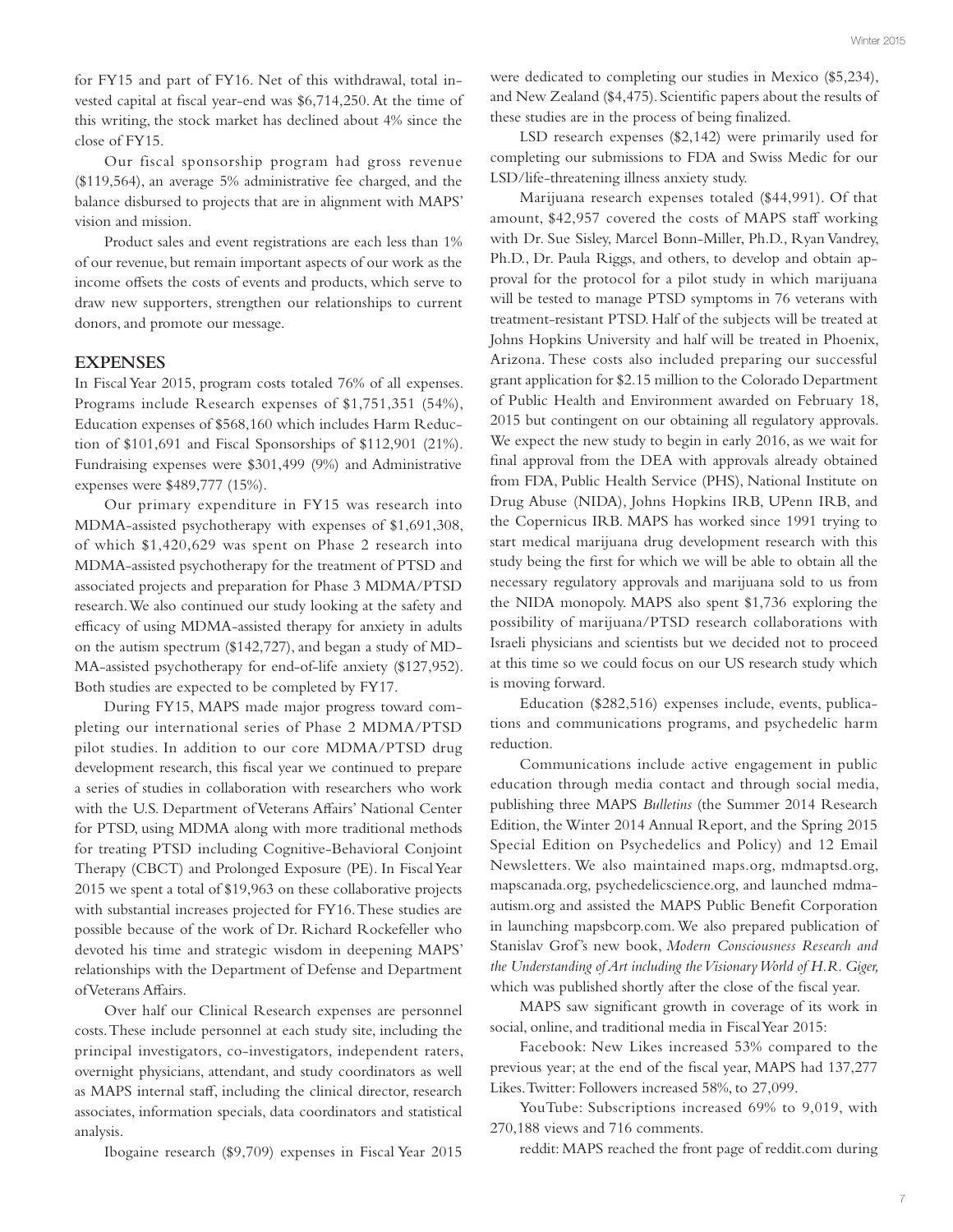for FY15 and part of FY16. Net of this withdrawal, total invested capital at fscal year-end was \$6,714,250. At the time of this writing, the stock market has declined about 4% since the close of FY15.

Our fiscal sponsorship program had gross revenue (\$119,564), an average 5% administrative fee charged, and the balance disbursed to projects that are in alignment with MAPS' vision and mission.

Product sales and event registrations are each less than 1% of our revenue, but remain important aspects of our work as the income ofsets the costs of events and products, which serve to draw new supporters, strengthen our relationships to current donors, and promote our message.

#### **EXPENSES**

In Fiscal Year 2015, program costs totaled 76% of all expenses. Programs include Research expenses of \$1,751,351 (54%), Education expenses of \$568,160 which includes Harm Reduction of \$101,691 and Fiscal Sponsorships of \$112,901 (21%). Fundraising expenses were \$301,499 (9%) and Administrative expenses were \$489,777 (15%).

Our primary expenditure in FY15 was research into MDMA-assisted psychotherapy with expenses of \$1,691,308, of which \$1,420,629 was spent on Phase 2 research into MDMA-assisted psychotherapy for the treatment of PTSD and associated projects and preparation for Phase 3 MDMA/PTSD research. We also continued our study looking at the safety and efficacy of using MDMA-assisted therapy for anxiety in adults on the autism spectrum (\$142,727), and began a study of MD-MA-assisted psychotherapy for end-of-life anxiety (\$127,952). Both studies are expected to be completed by FY17.

During FY15, MAPS made major progress toward completing our international series of Phase 2 MDMA/PTSD pilot studies. In addition to our core MDMA/PTSD drug development research, this fiscal year we continued to prepare a series of studies in collaboration with researchers who work with the U.S. Department of Veterans Afairs' National Center for PTSD, using MDMA along with more traditional methods for treating PTSD including Cognitive-Behavioral Conjoint Therapy (CBCT) and Prolonged Exposure (PE). In Fiscal Year 2015 we spent a total of \$19,963 on these collaborative projects with substantial increases projected for FY16. These studies are possible because of the work of Dr. Richard Rockefeller who devoted his time and strategic wisdom in deepening MAPS' relationships with the Department of Defense and Department of Veterans Afairs.

Over half our Clinical Research expenses are personnel costs. These include personnel at each study site, including the principal investigators, co-investigators, independent raters, overnight physicians, attendant, and study coordinators as well as MAPS internal staf, including the clinical director, research associates, information specials, data coordinators and statistical analysis.

Ibogaine research (\$9,709) expenses in Fiscal Year 2015

were dedicated to completing our studies in Mexico (\$5,234), and New Zealand (\$4,475). Scientifc papers about the results of these studies are in the process of being fnalized.

LSD research expenses (\$2,142) were primarily used for completing our submissions to FDA and Swiss Medic for our LSD/life-threatening illness anxiety study.

Marijuana research expenses totaled (\$44,991). Of that amount, \$42,957 covered the costs of MAPS staff working with Dr. Sue Sisley, Marcel Bonn-Miller, Ph.D., Ryan Vandrey, Ph.D., Dr. Paula Riggs, and others, to develop and obtain approval for the protocol for a pilot study in which marijuana will be tested to manage PTSD symptoms in 76 veterans with treatment-resistant PTSD. Half of the subjects will be treated at Johns Hopkins University and half will be treated in Phoenix, Arizona. These costs also included preparing our successful grant application for \$2.15 million to the Colorado Department of Public Health and Environment awarded on February 18, 2015 but contingent on our obtaining all regulatory approvals. We expect the new study to begin in early 2016, as we wait for fnal approval from the DEA with approvals already obtained from FDA, Public Health Service (PHS), National Institute on Drug Abuse (NIDA), Johns Hopkins IRB, UPenn IRB, and the Copernicus IRB. MAPS has worked since 1991 trying to start medical marijuana drug development research with this study being the frst for which we will be able to obtain all the necessary regulatory approvals and marijuana sold to us from the NIDA monopoly. MAPS also spent \$1,736 exploring the possibility of marijuana/PTSD research collaborations with Israeli physicians and scientists but we decided not to proceed at this time so we could focus on our US research study which is moving forward.

Education (\$282,516) expenses include, events, publications and communications programs, and psychedelic harm reduction.

Communications include active engagement in public education through media contact and through social media, publishing three MAPS *Bulletins* (the Summer 2014 Research Edition, the Winter 2014 Annual Report, and the Spring 2015 Special Edition on Psychedelics and Policy) and 12 Email Newsletters. We also maintained maps.org, mdmaptsd.org, mapscanada.org, psychedelicscience.org, and launched mdmaautism.org and assisted the MAPS Public Beneft Corporation in launching mapsbcorp.com. We also prepared publication of Stanislav Grof's new book, *Modern Consciousness Research and the Understanding of Art including the Visionary World of H.R. Giger,*  which was published shortly after the close of the fiscal year.

MAPS saw signifcant growth in coverage of its work in social, online, and traditional media in Fiscal Year 2015:

Facebook: New Likes increased 53% compared to the previous year; at the end of the fscal year, MAPS had 137,277 Likes. Twitter: Followers increased 58%, to 27,099.

YouTube: Subscriptions increased 69% to 9,019, with 270,188 views and 716 comments.

reddit: MAPS reached the front page of reddit.com during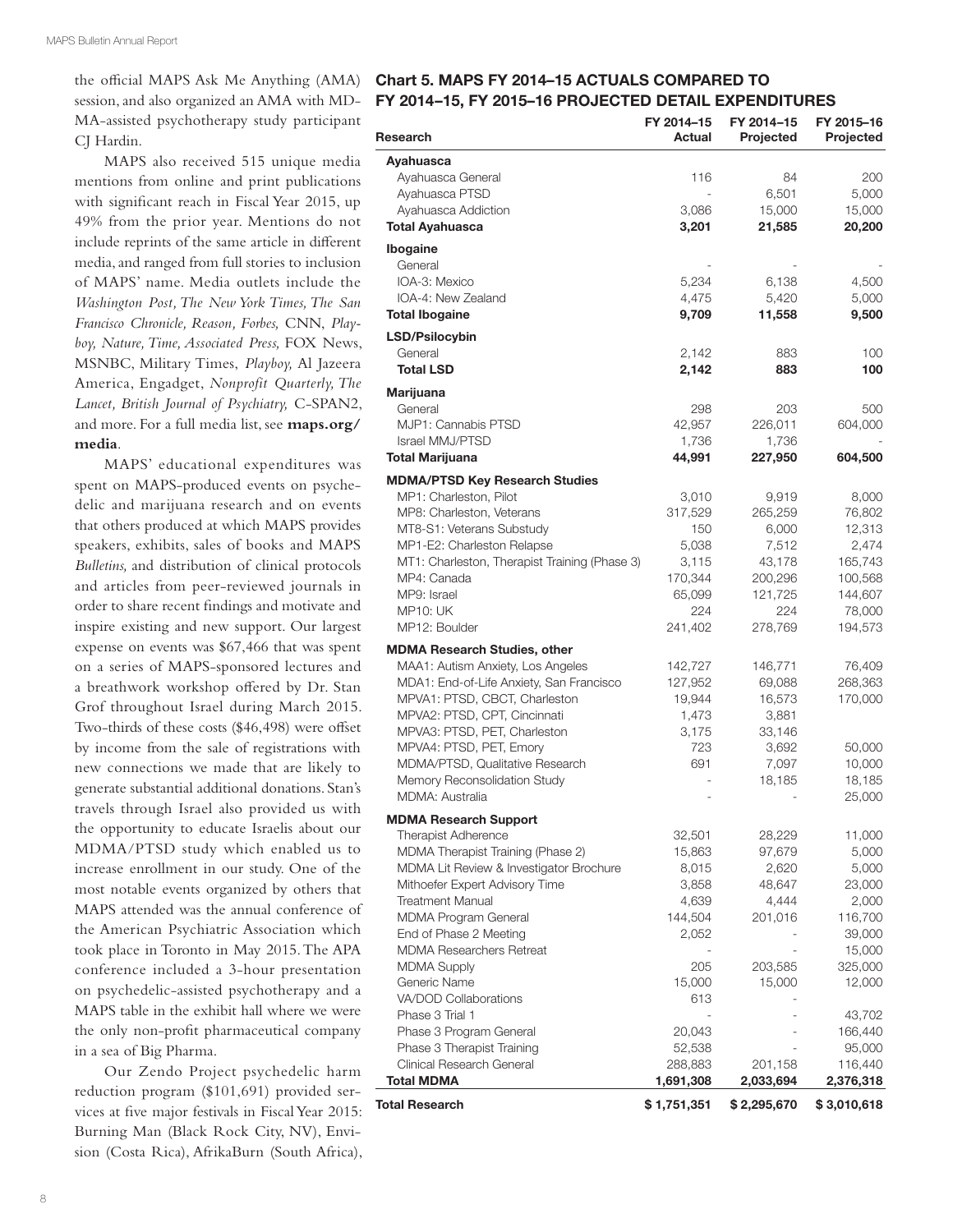MA-assisted psychotherapy study participant CJ Hardin.

MAPS also received 515 unique media mentions from online and print publications with signifcant reach in Fiscal Year 2015, up 49% from the prior year. Mentions do not include reprints of the same article in diferent media, and ranged from full stories to inclusion of MAPS' name. Media outlets include the *Washington Post, The New York Times, The San Francisco Chronicle, Reason, Forbes,* CNN, *Playboy, Nature, Time, Associated Press,* FOX News, MSNBC, Military Times, *Playboy,* Al Jazeera America, Engadget, *Nonprofit Quarterly, The Lancet, British Journal of Psychiatry,* C-SPAN2, and more. For a full media list, see **maps.org/ media**.

MAPS' educational expenditures was spent on MAPS-produced events on psychedelic and marijuana research and on events that others produced at which MAPS provides speakers, exhibits, sales of books and MAPS *Bulletins,* and distribution of clinical protocols and articles from peer-reviewed journals in order to share recent fndings and motivate and inspire existing and new support. Our largest expense on events was \$67,466 that was spent on a series of MAPS-sponsored lectures and a breathwork workshop ofered by Dr. Stan Grof throughout Israel during March 2015. Two-thirds of these costs (\$46,498) were offset by income from the sale of registrations with new connections we made that are likely to generate substantial additional donations. Stan's travels through Israel also provided us with the opportunity to educate Israelis about our MDMA/PTSD study which enabled us to increase enrollment in our study. One of the most notable events organized by others that MAPS attended was the annual conference of the American Psychiatric Association which took place in Toronto in May 2015. The APA conference included a 3-hour presentation on psychedelic-assisted psychotherapy and a MAPS table in the exhibit hall where we were the only non-proft pharmaceutical company in a sea of Big Pharma.

Our Zendo Project psychedelic harm reduction program (\$101,691) provided services at fve major festivals in Fiscal Year 2015: Burning Man (Black Rock City, NV), Envision (Costa Rica), AfrikaBurn (South Africa),

#### the official MAPS Ask Me Anything (AMA) Chart 5. MAPS FY 2014-15 ACTUALS COMPARED TO session, and also organized an AMA with MD- FY 2014–15, FY 2015–16 PROJECTED DETAIL EXPENDITURES

| Research                                              | FY 2014-15<br>Actual | FY 2014-15<br>Projected | FY 2015-16<br>Projected |
|-------------------------------------------------------|----------------------|-------------------------|-------------------------|
| Ayahuasca                                             |                      |                         |                         |
| Ayahuasca General                                     | 116                  | 84                      | 200                     |
| Ayahuasca PTSD                                        | $\frac{1}{2}$        | 6,501                   | 5,000                   |
| Ayahuasca Addiction                                   | 3,086                | 15,000                  | 15,000                  |
| <b>Total Ayahuasca</b>                                | 3,201                | 21,585                  | 20,200                  |
| Ibogaine                                              |                      |                         |                         |
| General                                               |                      |                         |                         |
| IOA-3: Mexico                                         | 5,234                | 6,138                   | 4,500                   |
| IOA-4: New Zealand                                    | 4,475                | 5,420                   | 5,000                   |
| <b>Total Ibogaine</b>                                 | 9,709                | 11,558                  | 9,500                   |
| LSD/Psilocybin                                        |                      |                         |                         |
| General                                               | 2,142                | 883                     | 100                     |
| <b>Total LSD</b>                                      | 2,142                | 883                     | 100                     |
| Marijuana                                             |                      |                         |                         |
| General                                               | 298                  | 203                     | 500                     |
| MJP1: Cannabis PTSD                                   | 42,957               | 226,011                 | 604,000                 |
| <b>Israel MMJ/PTSD</b>                                | 1,736                | 1,736                   |                         |
| <b>Total Marijuana</b>                                | 44,991               | 227,950                 | 604,500                 |
| <b>MDMA/PTSD Key Research Studies</b>                 |                      |                         |                         |
| MP1: Charleston, Pilot                                | 3,010                | 9,919                   | 8,000                   |
| MP8: Charleston, Veterans                             | 317,529              | 265,259                 | 76,802                  |
| MT8-S1: Veterans Substudy                             | 150                  | 6,000                   | 12,313                  |
| MP1-E2: Charleston Relapse                            | 5,038                | 7,512                   | 2,474                   |
| MT1: Charleston, Therapist Training (Phase 3)         | 3,115                | 43,178                  | 165,743                 |
| MP4: Canada<br>MP9: Israel                            | 170,344              | 200,296<br>121,725      | 100,568                 |
| <b>MP10: UK</b>                                       | 65,099<br>224        | 224                     | 144,607<br>78,000       |
| MP12: Boulder                                         | 241,402              | 278,769                 | 194,573                 |
| <b>MDMA Research Studies, other</b>                   |                      |                         |                         |
| MAA1: Autism Anxiety, Los Angeles                     | 142,727              | 146,771                 | 76,409                  |
| MDA1: End-of-Life Anxiety, San Francisco              | 127,952              | 69,088                  | 268,363                 |
| MPVA1: PTSD, CBCT, Charleston                         | 19,944               | 16,573                  | 170,000                 |
| MPVA2: PTSD, CPT, Cincinnati                          | 1,473                | 3,881                   |                         |
| MPVA3: PTSD, PET, Charleston                          | 3,175                | 33,146                  |                         |
| MPVA4: PTSD, PET, Emory                               | 723                  | 3,692                   | 50,000                  |
| MDMA/PTSD, Qualitative Research                       | 691                  | 7,097                   | 10,000                  |
| Memory Reconsolidation Study                          |                      | 18,185                  | 18,185                  |
| <b>MDMA: Australia</b>                                |                      |                         | 25,000                  |
| <b>MDMA Research Support</b>                          |                      |                         |                         |
| <b>Therapist Adherence</b>                            | 32,501               | 28,229                  | 11,000                  |
| MDMA Therapist Training (Phase 2)                     | 15,863               | 97,679                  | 5,000                   |
| MDMA Lit Review & Investigator Brochure               | 8,015                | 2,620                   | 5,000                   |
| Mithoefer Expert Advisory Time                        | 3,858                | 48,647                  | 23,000                  |
| <b>Treatment Manual</b>                               | 4,639                | 4,444                   | 2,000                   |
| MDMA Program General                                  | 144,504              | 201,016                 | 116,700                 |
| End of Phase 2 Meeting                                | 2,052                |                         | 39,000                  |
| <b>MDMA Researchers Retreat</b><br><b>MDMA Supply</b> |                      |                         | 15,000                  |
| Generic Name                                          | 205<br>15,000        | 203,585<br>15,000       | 325,000<br>12,000       |
| VA/DOD Collaborations                                 | 613                  |                         |                         |
| Phase 3 Trial 1                                       |                      |                         | 43,702                  |
| Phase 3 Program General                               | 20,043               |                         | 166,440                 |
| Phase 3 Therapist Training                            | 52,538               |                         | 95,000                  |
| Clinical Research General                             | 288,883              | 201,158                 | 116,440                 |
| <b>Total MDMA</b>                                     | 1,691,308            | 2,033,694               | 2,376,318               |
| <b>Total Research</b>                                 | \$1,751,351          | \$2,295,670             | \$3,010,618             |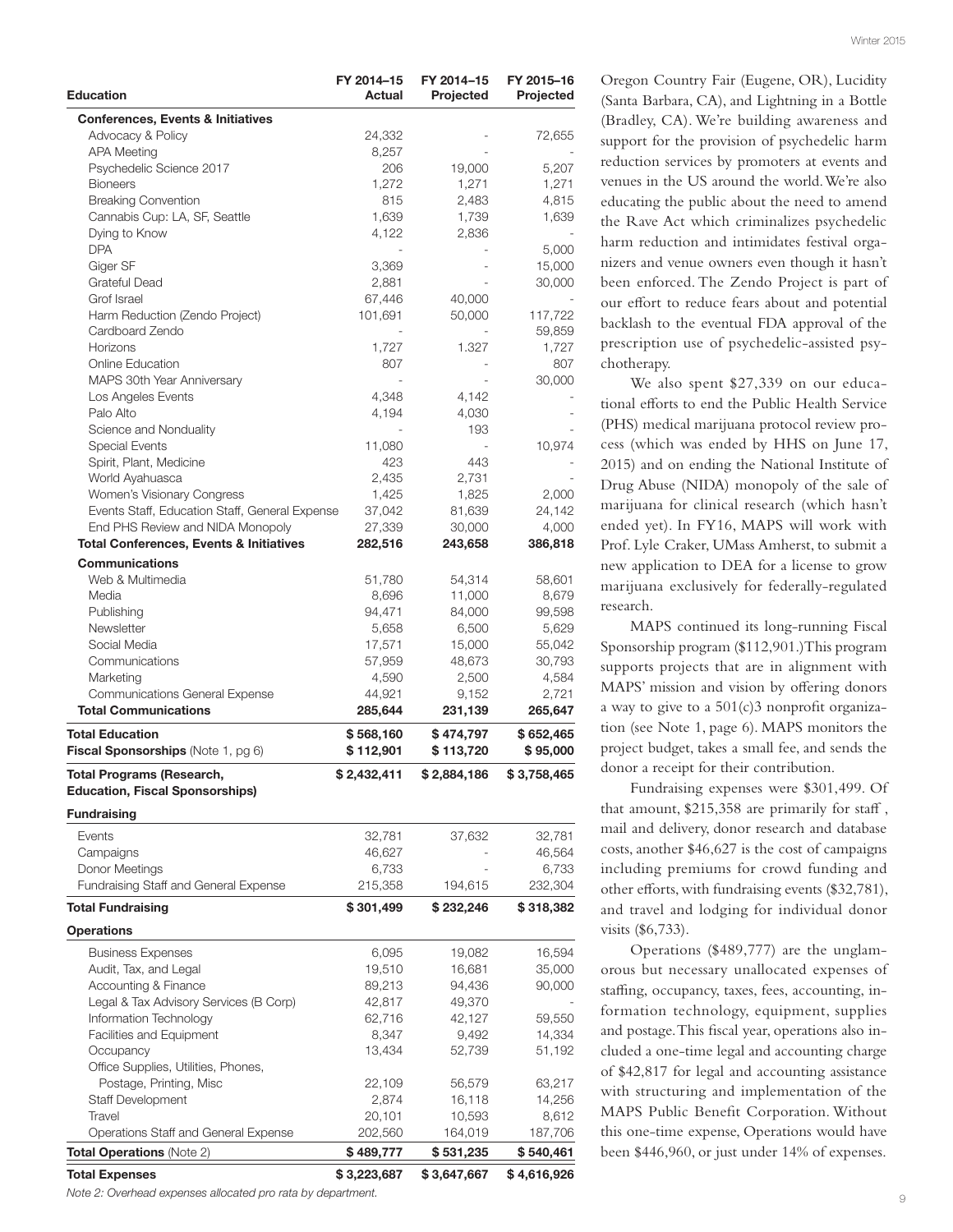| <b>Education</b>                                             | FY 2014-15<br>Actual   | FY 2014-15<br>Projected | FY 2015-16<br>Projected |
|--------------------------------------------------------------|------------------------|-------------------------|-------------------------|
| <b>Conferences, Events &amp; Initiatives</b>                 |                        |                         |                         |
| Advocacy & Policy                                            | 24,332                 |                         | 72,655                  |
| <b>APA Meeting</b>                                           | 8.257                  |                         |                         |
| Psychedelic Science 2017                                     | 206                    | 19,000                  | 5,207                   |
| <b>Bioneers</b>                                              | 1,272                  | 1,271                   | 1,271                   |
| <b>Breaking Convention</b>                                   | 815                    | 2,483                   | 4,815                   |
| Cannabis Cup: LA, SF, Seattle                                | 1,639                  | 1,739                   | 1,639                   |
| Dying to Know                                                | 4,122                  | 2,836                   |                         |
| <b>DPA</b>                                                   |                        |                         | 5,000                   |
| Giger SF                                                     | 3,369                  |                         | 15,000                  |
| Grateful Dead                                                | 2,881                  |                         | 30,000                  |
| Grof Israel                                                  | 67,446                 | 40,000                  |                         |
| Harm Reduction (Zendo Project)<br>Cardboard Zendo            | 101,691                | 50,000                  | 117,722<br>59,859       |
| Horizons                                                     | 1,727                  | 1.327                   | 1,727                   |
| <b>Online Education</b>                                      | 807                    |                         | 807                     |
| MAPS 30th Year Anniversary                                   |                        |                         | 30,000                  |
| Los Angeles Events                                           | 4,348                  | 4,142                   |                         |
| Palo Alto                                                    | 4,194                  | 4,030                   |                         |
| Science and Nonduality                                       |                        | 193                     |                         |
| <b>Special Events</b>                                        | 11,080                 |                         | 10,974                  |
| Spirit, Plant, Medicine                                      | 423                    | 443                     |                         |
| World Ayahuasca                                              | 2,435                  | 2,731                   |                         |
| Women's Visionary Congress                                   | 1,425                  | 1,825                   | 2,000                   |
| Events Staff, Education Staff, General Expense               | 37,042                 | 81,639                  | 24,142                  |
| End PHS Review and NIDA Monopoly                             | 27,339                 | 30,000                  | 4,000                   |
| <b>Total Conferences, Events &amp; Initiatives</b>           | 282,516                | 243,658                 | 386,818                 |
| <b>Communications</b>                                        |                        |                         |                         |
| Web & Multimedia                                             | 51,780                 | 54,314                  | 58,601                  |
| Media                                                        | 8,696                  | 11,000                  | 8,679                   |
| Publishing                                                   | 94,471                 | 84,000                  | 99,598                  |
| <b>Newsletter</b>                                            | 5,658                  | 6,500                   | 5,629                   |
| Social Media                                                 | 17,571                 | 15,000                  | 55,042                  |
| Communications                                               | 57,959                 | 48,673                  | 30,793                  |
| Marketing                                                    | 4,590                  | 2,500                   | 4,584                   |
| Communications General Expense                               | 44,921                 | 9,152                   | 2,721                   |
| <b>Total Communications</b>                                  | 285,644                | 231,139                 | 265,647                 |
| <b>Total Education</b><br>Fiscal Sponsorships (Note 1, pg 6) | \$568,160<br>\$112,901 | \$474,797<br>\$113,720  | \$652,465<br>\$95,000   |
| Total Programs (Research,                                    | \$ 2,432,411           | \$2,884,186             | \$3,758,465             |
| <b>Education, Fiscal Sponsorships)</b>                       |                        |                         |                         |
| <b>Fundraising</b>                                           |                        |                         |                         |
|                                                              |                        |                         |                         |
| Events                                                       | 32,781                 | 37,632                  | 32,781                  |
| Campaigns<br>Donor Meetings                                  | 46,627                 |                         | 46,564                  |
|                                                              | 6,733                  |                         | 6,733<br>232,304        |
| Fundraising Staff and General Expense                        | 215,358                | 194,615                 |                         |
| <b>Total Fundraising</b>                                     | \$301,499              | \$232,246               | \$318,382               |
| <b>Operations</b>                                            |                        |                         |                         |
| <b>Business Expenses</b>                                     | 6,095                  | 19,082                  | 16,594                  |
| Audit, Tax, and Legal                                        | 19,510                 | 16,681                  | 35,000                  |
| Accounting & Finance                                         | 89,213                 | 94,436                  | 90,000                  |
| Legal & Tax Advisory Services (B Corp)                       | 42,817                 | 49,370                  |                         |
| Information Technology                                       | 62,716                 | 42,127                  | 59,550                  |
| Facilities and Equipment                                     | 8,347                  | 9,492                   | 14,334                  |
| Occupancy                                                    | 13,434                 | 52,739                  | 51,192                  |
| Office Supplies, Utilities, Phones,                          |                        |                         |                         |
| Postage, Printing, Misc                                      | 22,109                 | 56,579                  | 63,217                  |
| <b>Staff Development</b>                                     | 2,874                  | 16,118                  | 14,256                  |
| Travel                                                       | 20,101                 | 10,593                  | 8,612                   |
| Operations Staff and General Expense                         | 202,560                | 164,019                 | 187,706                 |
| <b>Total Operations (Note 2)</b>                             | \$489,777              | \$531,235               | \$540,461               |

#### Total Expenses \$ 3,223,687 \$ 3,647,667 \$ 4,616,926

*Note 2: Overhead expenses allocated pro rata by department.*

Oregon Country Fair (Eugene, OR), Lucidity (Santa Barbara, CA), and Lightning in a Bottle (Bradley, CA). We're building awareness and support for the provision of psychedelic harm reduction services by promoters at events and venues in the US around the world. We're also educating the public about the need to amend the Rave Act which criminalizes psychedelic harm reduction and intimidates festival organizers and venue owners even though it hasn't been enforced. The Zendo Project is part of our efort to reduce fears about and potential backlash to the eventual FDA approval of the prescription use of psychedelic-assisted psychotherapy.

We also spent \$27,339 on our educational eforts to end the Public Health Service (PHS) medical marijuana protocol review process (which was ended by HHS on June 17, 2015) and on ending the National Institute of Drug Abuse (NIDA) monopoly of the sale of marijuana for clinical research (which hasn't ended yet). In FY16, MAPS will work with Prof. Lyle Craker, UMass Amherst, to submit a new application to DEA for a license to grow marijuana exclusively for federally-regulated research.

MAPS continued its long-running Fiscal Sponsorship program (\$112,901.)This program supports projects that are in alignment with MAPS' mission and vision by ofering donors a way to give to a  $501(c)3$  nonprofit organization (see Note 1, page 6). MAPS monitors the project budget, takes a small fee, and sends the donor a receipt for their contribution.

Fundraising expenses were \$301,499. Of that amount,  $$215,358$  are primarily for staff, mail and delivery, donor research and database costs, another \$46,627 is the cost of campaigns including premiums for crowd funding and other efforts, with fundraising events (\$32,781), and travel and lodging for individual donor visits (\$6,733).

Operations (\$489,777) are the unglamorous but necessary unallocated expenses of staffing, occupancy, taxes, fees, accounting, information technology, equipment, supplies and postage. This fiscal year, operations also included a one-time legal and accounting charge of \$42,817 for legal and accounting assistance with structuring and implementation of the MAPS Public Beneft Corporation. Without this one-time expense, Operations would have been \$446,960, or just under 14% of expenses.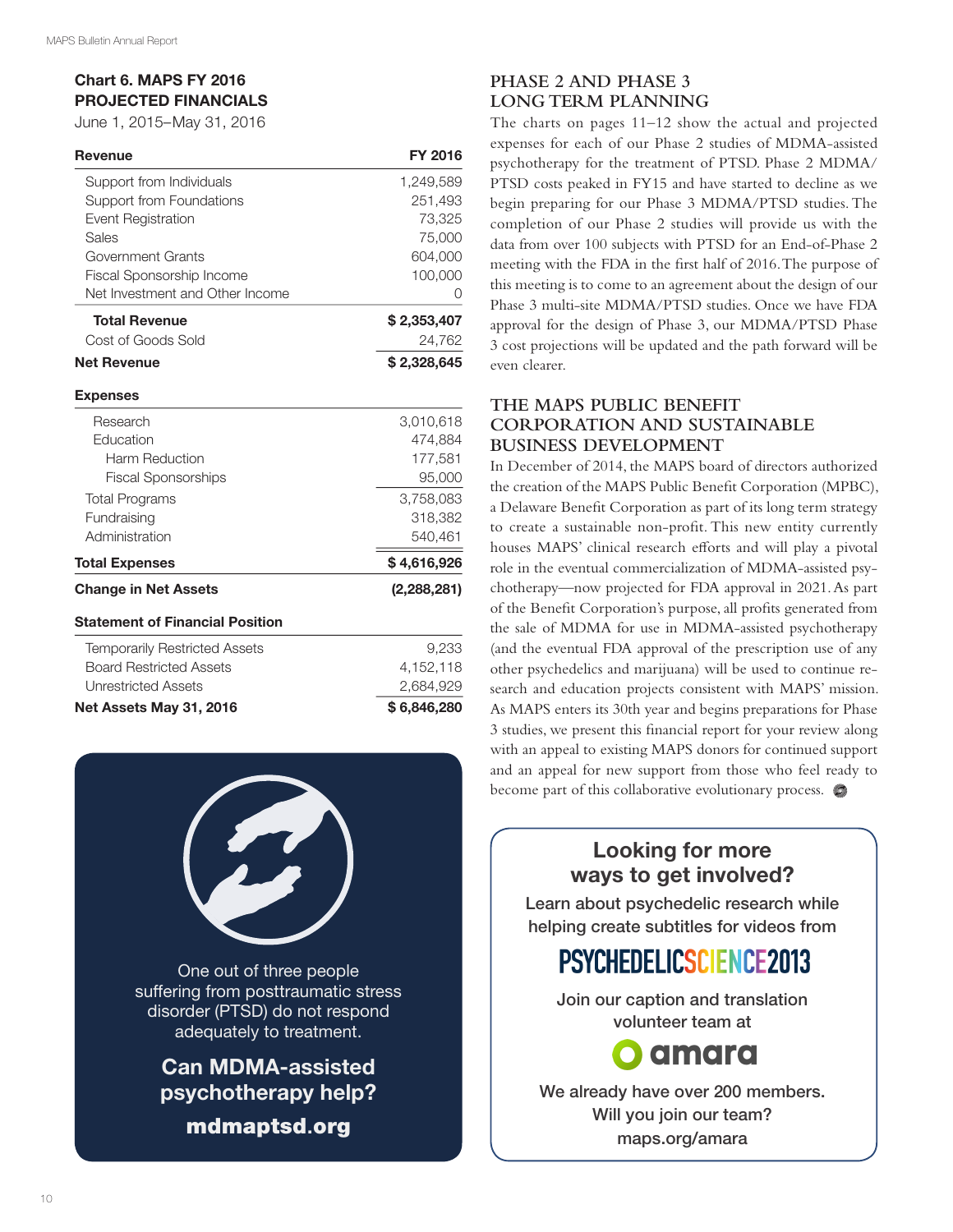# Chart 6. MAPS FY 2016 PROJECTED FINANCIALS

June 1, 2015–May 31, 2016

| <b>Revenue</b>                  | <b>FY 2016</b> |
|---------------------------------|----------------|
| Support from Individuals        | 1,249,589      |
| Support from Foundations        | 251,493        |
| Event Registration              | 73,325         |
| Sales                           | 75,000         |
| Government Grants               | 604,000        |
| Fiscal Sponsorship Income       | 100,000        |
| Net Investment and Other Income |                |
| <b>Total Revenue</b>            | \$2,353,407    |
| Cost of Goods Sold              | 24,762         |
| <b>Net Revenue</b>              | \$2,328,645    |

#### Expenses

| <b>Statement of Financial Position</b><br><b>Temporarily Restricted Assets</b> | 9.233       |
|--------------------------------------------------------------------------------|-------------|
| <b>Change in Net Assets</b>                                                    | (2,288,281) |
| <b>Total Expenses</b>                                                          | \$4,616,926 |
| Administration                                                                 | 540,461     |
| Fundraising                                                                    | 318,382     |
| <b>Total Programs</b>                                                          | 3.758.083   |
| <b>Fiscal Sponsorships</b>                                                     | 95,000      |
| Harm Reduction                                                                 | 177.581     |
| <b>Education</b>                                                               | 474.884     |
| Research                                                                       | 3.010.618   |

| Net Assets May 31, 2016        | \$6,846,280 |
|--------------------------------|-------------|
| Unrestricted Assets            | 2.684.929   |
| <b>Board Restricted Assets</b> | 4.152.118   |
|                                |             |



Can MDMA-assisted psychotherapy help? mdmaptsd.org

# **PHASE 2 AND PHASE 3 LONG TERM PLANNING**

The charts on pages 11–12 show the actual and projected expenses for each of our Phase 2 studies of MDMA-assisted psychotherapy for the treatment of PTSD. Phase 2 MDMA/ PTSD costs peaked in FY15 and have started to decline as we begin preparing for our Phase 3 MDMA/PTSD studies. The completion of our Phase 2 studies will provide us with the data from over 100 subjects with PTSD for an End-of-Phase 2 meeting with the FDA in the frst half of 2016. The purpose of this meeting is to come to an agreement about the design of our Phase 3 multi-site MDMA/PTSD studies. Once we have FDA approval for the design of Phase 3, our MDMA/PTSD Phase 3 cost projections will be updated and the path forward will be even clearer.

## **THE MAPS PUBLIC BENEFIT CORPORATION AND SUSTAINABLE BUSINESS DEVELOPMENT**

In December of 2014, the MAPS board of directors authorized the creation of the MAPS Public Beneft Corporation (MPBC), a Delaware Beneft Corporation as part of its long term strategy to create a sustainable non-proft. This new entity currently houses MAPS' clinical research efforts and will play a pivotal role in the eventual commercialization of MDMA-assisted psychotherapy—now projected for FDA approval in 2021. As part of the Beneft Corporation's purpose, all profts generated from the sale of MDMA for use in MDMA-assisted psychotherapy (and the eventual FDA approval of the prescription use of any other psychedelics and marijuana) will be used to continue research and education projects consistent with MAPS' mission. As MAPS enters its 30th year and begins preparations for Phase 3 studies, we present this fnancial report for your review along with an appeal to existing MAPS donors for continued support and an appeal for new support from those who feel ready to become part of this collaborative evolutionary process.

# Looking for more ways to get involved?

Learn about psychedelic research while helping create subtitles for videos from

# PSYCHEDELICSCIENCE2013

Join our caption and translation volunteer team at



We already have over 200 members. Will you join our team? maps.org/amara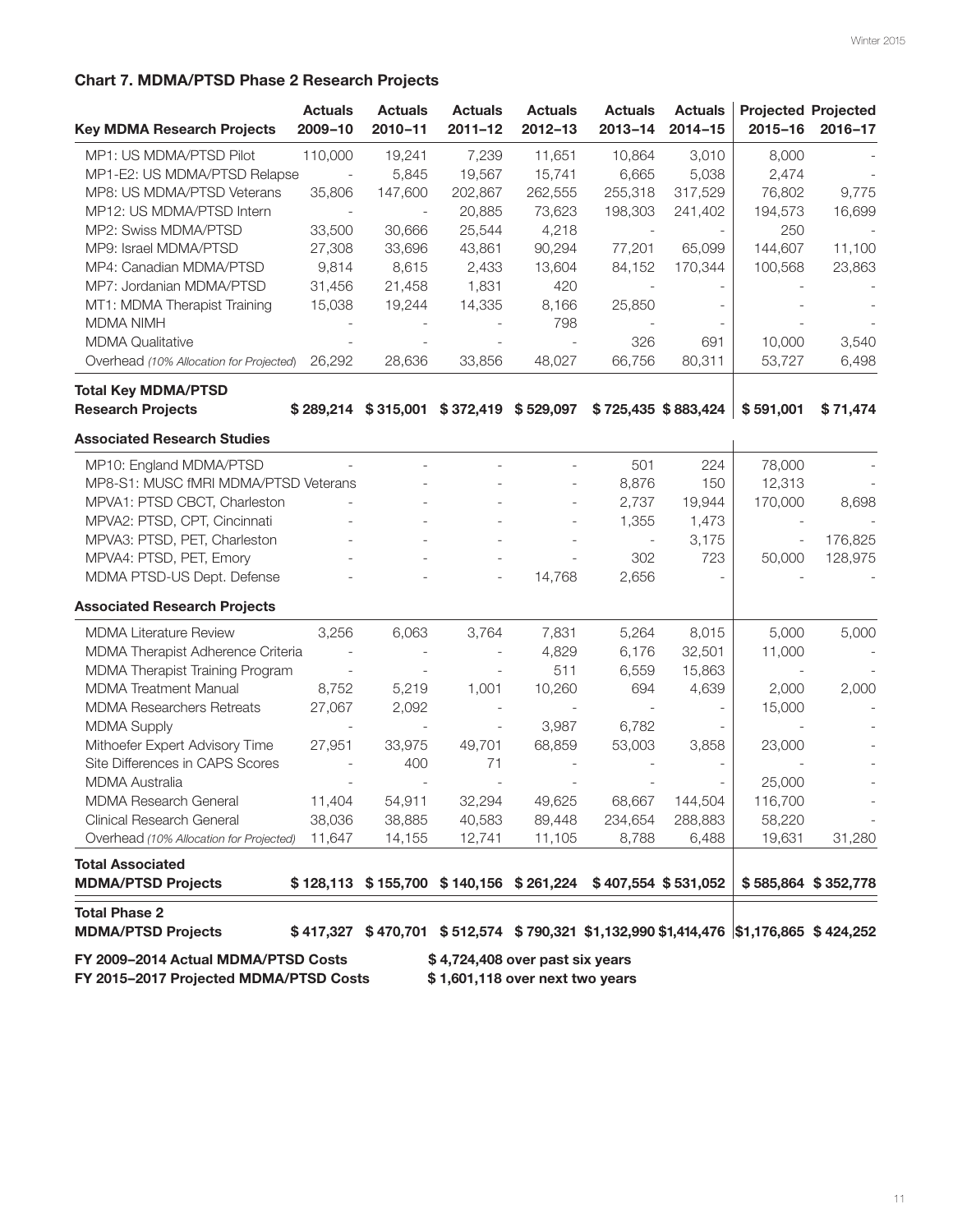# Chart 7. MDMA/PTSD Phase 2 Research Projects

| <b>Key MDMA Research Projects</b>                 | <b>Actuals</b><br>2009-10 | <b>Actuals</b><br>$2010 - 11$ | <b>Actuals</b><br>$2011 - 12$ | <b>Actuals</b><br>$2012 - 13$                                                         | <b>Actuals</b><br>$2013 - 14$ | <b>Actuals</b><br>$2014 - 15$ | $2015 - 16$ | <b>Projected Projected</b><br>2016-17 |
|---------------------------------------------------|---------------------------|-------------------------------|-------------------------------|---------------------------------------------------------------------------------------|-------------------------------|-------------------------------|-------------|---------------------------------------|
| MP1: US MDMA/PTSD Pilot                           | 110,000                   | 19,241                        | 7,239                         | 11,651                                                                                | 10,864                        | 3,010                         | 8,000       |                                       |
| MP1-E2: US MDMA/PTSD Relapse                      | $\sim$                    | 5,845                         | 19,567                        | 15,741                                                                                | 6,665                         | 5,038                         | 2,474       |                                       |
| MP8: US MDMA/PTSD Veterans                        | 35,806                    | 147,600                       | 202,867                       | 262,555                                                                               | 255,318                       | 317,529                       | 76,802      | 9,775                                 |
| MP12: US MDMA/PTSD Intern                         |                           |                               | 20,885                        | 73,623                                                                                | 198,303                       | 241,402                       | 194,573     | 16,699                                |
| MP2: Swiss MDMA/PTSD                              | 33,500                    | 30,666                        | 25,544                        | 4,218                                                                                 |                               |                               | 250         |                                       |
| MP9: Israel MDMA/PTSD                             | 27,308                    | 33,696                        | 43,861                        | 90,294                                                                                | 77,201                        | 65,099                        | 144,607     | 11,100                                |
| MP4: Canadian MDMA/PTSD                           | 9,814                     | 8,615                         | 2,433                         | 13,604                                                                                | 84,152                        | 170,344                       | 100,568     | 23,863                                |
| MP7: Jordanian MDMA/PTSD                          | 31,456                    | 21,458                        | 1,831                         | 420                                                                                   |                               |                               |             |                                       |
| MT1: MDMA Therapist Training                      | 15,038                    | 19,244                        | 14,335                        | 8,166                                                                                 | 25,850                        |                               |             |                                       |
| <b>MDMA NIMH</b>                                  |                           |                               |                               | 798                                                                                   |                               |                               |             |                                       |
| <b>MDMA Qualitative</b>                           |                           |                               |                               |                                                                                       | 326                           | 691                           | 10,000      | 3,540                                 |
| Overhead (10% Allocation for Projected)           | 26,292                    | 28,636                        | 33,856                        | 48,027                                                                                | 66,756                        | 80,311                        | 53,727      | 6,498                                 |
| <b>Total Key MDMA/PTSD</b>                        |                           |                               |                               |                                                                                       |                               |                               |             |                                       |
| <b>Research Projects</b>                          | \$289,214                 |                               |                               | $$315,001$ $$372,419$ $$529,097$                                                      |                               | \$725,435 \$883,424           | \$591,001   | \$71,474                              |
| <b>Associated Research Studies</b>                |                           |                               |                               |                                                                                       |                               |                               |             |                                       |
| MP10: England MDMA/PTSD                           |                           | $\overline{a}$                | $\overline{a}$                |                                                                                       | 501                           | 224                           | 78,000      |                                       |
| MP8-S1: MUSC fMRI MDMA/PTSD Veterans              |                           |                               |                               |                                                                                       | 8,876                         | 150                           | 12,313      |                                       |
| MPVA1: PTSD CBCT, Charleston                      |                           |                               |                               |                                                                                       | 2,737                         | 19,944                        | 170,000     | 8,698                                 |
| MPVA2: PTSD, CPT, Cincinnati                      |                           |                               |                               |                                                                                       | 1,355                         | 1,473                         |             |                                       |
| MPVA3: PTSD, PET, Charleston                      |                           |                               |                               |                                                                                       |                               | 3,175                         |             | 176,825                               |
| MPVA4: PTSD, PET, Emory                           |                           |                               |                               |                                                                                       | 302                           | 723                           | 50,000      | 128,975                               |
| MDMA PTSD-US Dept. Defense                        |                           |                               | $\overline{a}$                | 14,768                                                                                | 2,656                         |                               |             |                                       |
| <b>Associated Research Projects</b>               |                           |                               |                               |                                                                                       |                               |                               |             |                                       |
| <b>MDMA Literature Review</b>                     | 3,256                     | 6,063                         | 3,764                         | 7,831                                                                                 | 5,264                         | 8,015                         | 5,000       | 5,000                                 |
| MDMA Therapist Adherence Criteria                 |                           |                               |                               | 4,829                                                                                 | 6,176                         | 32,501                        | 11,000      |                                       |
| MDMA Therapist Training Program                   |                           |                               |                               | 511                                                                                   | 6,559                         | 15,863                        |             |                                       |
| <b>MDMA</b> Treatment Manual                      | 8,752                     | 5,219                         | 1,001                         | 10,260                                                                                | 694                           | 4,639                         | 2,000       | 2,000                                 |
| <b>MDMA Researchers Retreats</b>                  | 27,067                    | 2,092                         |                               |                                                                                       |                               |                               | 15,000      |                                       |
| <b>MDMA Supply</b>                                |                           |                               |                               | 3,987                                                                                 | 6,782                         |                               |             |                                       |
| Mithoefer Expert Advisory Time                    | 27,951                    | 33,975                        | 49,701                        | 68,859                                                                                | 53,003                        | 3,858                         | 23,000      |                                       |
| Site Differences in CAPS Scores                   |                           | 400                           | 71                            |                                                                                       |                               |                               |             |                                       |
| <b>MDMA Australia</b>                             |                           |                               |                               |                                                                                       |                               |                               | 25,000      |                                       |
| MDMA Research General                             | 11,404                    | 54,911                        | 32,294                        | 49,625                                                                                | 68,667                        | 144,504                       | 116,700     |                                       |
| Clinical Research General                         | 38,036                    | 38,885                        | 40,583                        | 89,448                                                                                | 234,654                       | 288,883                       | 58,220      |                                       |
| Overhead (10% Allocation for Projected) 11,647    |                           | 14,155                        | 12,741                        | 11,105                                                                                | 8,788                         | 6,488                         | 19,631      | 31,280                                |
| <b>Total Associated</b>                           |                           |                               |                               |                                                                                       |                               |                               |             |                                       |
| <b>MDMA/PTSD Projects</b>                         |                           |                               |                               | $$128,113$ $$155,700$ $$140,156$ $$261,224$ $$407,554$ $$531,052$                     |                               |                               |             | \$585,864 \$352,778                   |
| <b>Total Phase 2</b><br><b>MDMA/PTSD Projects</b> |                           |                               |                               | \$417,327 \$470,701 \$512,574 \$790,321 \$1,132,990 \$1,414,476 \$1,176,865 \$424,252 |                               |                               |             |                                       |
| FY 2009-2014 Actual MDMA/PTSD Costs               |                           |                               |                               | \$4,724,408 over past six years                                                       |                               |                               |             |                                       |

FY 2015-2017 Projected MDMA/PTSD Costs \$1,601,118 over next two years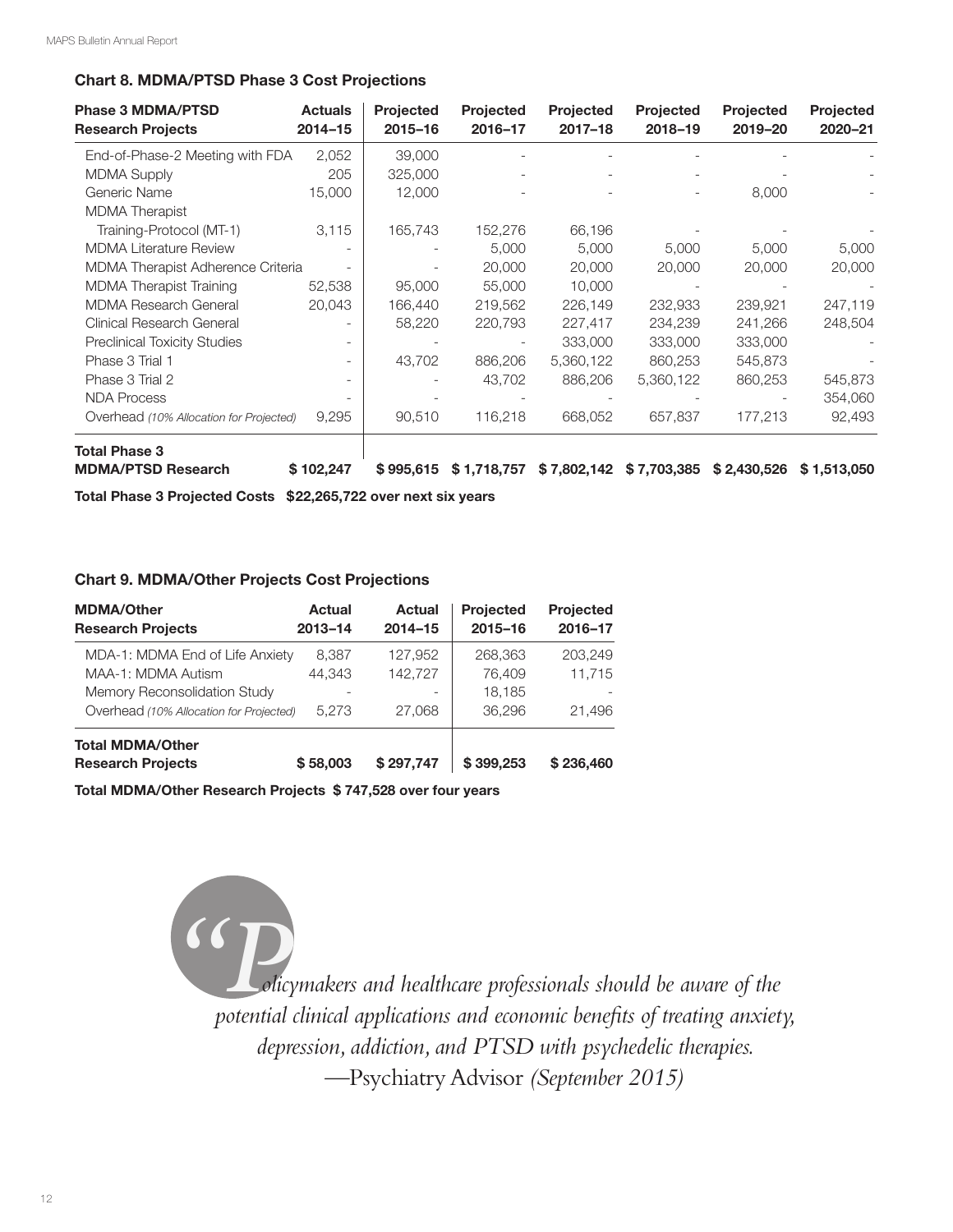### Chart 8. MDMA/PTSD Phase 3 Cost Projections

| <b>Phase 3 MDMA/PTSD</b><br><b>Research Projects</b> | <b>Actuals</b><br>$2014 - 15$ | <b>Projected</b><br>$2015 - 16$ | <b>Projected</b><br>2016-17 | <b>Projected</b><br>$2017 - 18$ | <b>Projected</b><br>2018-19 | <b>Projected</b><br>2019-20 | Projected<br>2020-21 |
|------------------------------------------------------|-------------------------------|---------------------------------|-----------------------------|---------------------------------|-----------------------------|-----------------------------|----------------------|
| End-of-Phase-2 Meeting with FDA                      | 2,052                         | 39,000                          |                             |                                 |                             |                             |                      |
| <b>MDMA Supply</b>                                   | 205                           | 325,000                         |                             |                                 |                             |                             |                      |
| Generic Name                                         | 15,000                        | 12,000                          |                             |                                 |                             | 8,000                       |                      |
| <b>MDMA</b> Therapist                                |                               |                                 |                             |                                 |                             |                             |                      |
| Training-Protocol (MT-1)                             | 3,115                         | 165,743                         | 152,276                     | 66,196                          |                             |                             |                      |
| <b>MDMA Literature Review</b>                        |                               |                                 | 5,000                       | 5,000                           | 5,000                       | 5,000                       | 5,000                |
| MDMA Therapist Adherence Criteria                    |                               |                                 | 20,000                      | 20,000                          | 20,000                      | 20,000                      | 20,000               |
| <b>MDMA Therapist Training</b>                       | 52,538                        | 95,000                          | 55,000                      | 10,000                          |                             |                             |                      |
| <b>MDMA Research General</b>                         | 20,043                        | 166,440                         | 219,562                     | 226,149                         | 232,933                     | 239,921                     | 247,119              |
| Clinical Research General                            |                               | 58,220                          | 220,793                     | 227,417                         | 234,239                     | 241,266                     | 248,504              |
| <b>Preclinical Toxicity Studies</b>                  |                               |                                 |                             | 333,000                         | 333,000                     | 333,000                     |                      |
| Phase 3 Trial 1                                      |                               | 43,702                          | 886,206                     | 5,360,122                       | 860,253                     | 545,873                     |                      |
| Phase 3 Trial 2                                      |                               |                                 | 43,702                      | 886,206                         | 5,360,122                   | 860,253                     | 545,873              |
| <b>NDA Process</b>                                   |                               |                                 |                             |                                 |                             |                             | 354,060              |
| Overhead (10% Allocation for Projected)              | 9,295                         | 90,510                          | 116,218                     | 668,052                         | 657,837                     | 177,213                     | 92,493               |
| <b>Total Phase 3</b>                                 |                               |                                 |                             |                                 |                             |                             |                      |
| <b>MDMA/PTSD Research</b>                            | \$102,247                     | \$995,615                       | \$1,718,757                 | \$7,802,142                     | \$7,703,385                 | \$2,430,526                 | \$1,513,050          |

Total Phase 3 Projected Costs \$22,265,722 over next six years

#### Chart 9. MDMA/Other Projects Cost Projections

| <b>MDMA/Other</b><br><b>Research Projects</b>       | Actual<br>$2013 - 14$ | <b>Actual</b><br>$2014 - 15$ | <b>Projected</b><br>2015-16 | <b>Projected</b><br>2016-17 |
|-----------------------------------------------------|-----------------------|------------------------------|-----------------------------|-----------------------------|
| MDA-1: MDMA End of Life Anxiety                     | 8.387                 | 127.952                      | 268,363                     | 203,249                     |
| MAA-1: MDMA Autism                                  | 44.343                | 142,727                      | 76,409                      | 11,715                      |
| Memory Reconsolidation Study                        |                       |                              | 18.185                      |                             |
| Overhead (10% Allocation for Projected)             | 5.273                 | 27,068                       | 36,296                      | 21.496                      |
| <b>Total MDMA/Other</b><br><b>Research Projects</b> | \$58,003              | \$297,747                    | \$399,253                   | \$236,460                   |

Total MDMA/Other Research Projects \$ 747,528 over four years

*"Policymakers and healthcare professionals should be aware of the potential clinical applications and economic benefts of treating anxiety, depression, addiction, and PTSD with psychedelic therapies. —*Psychiatry Advisor *(September 2015)*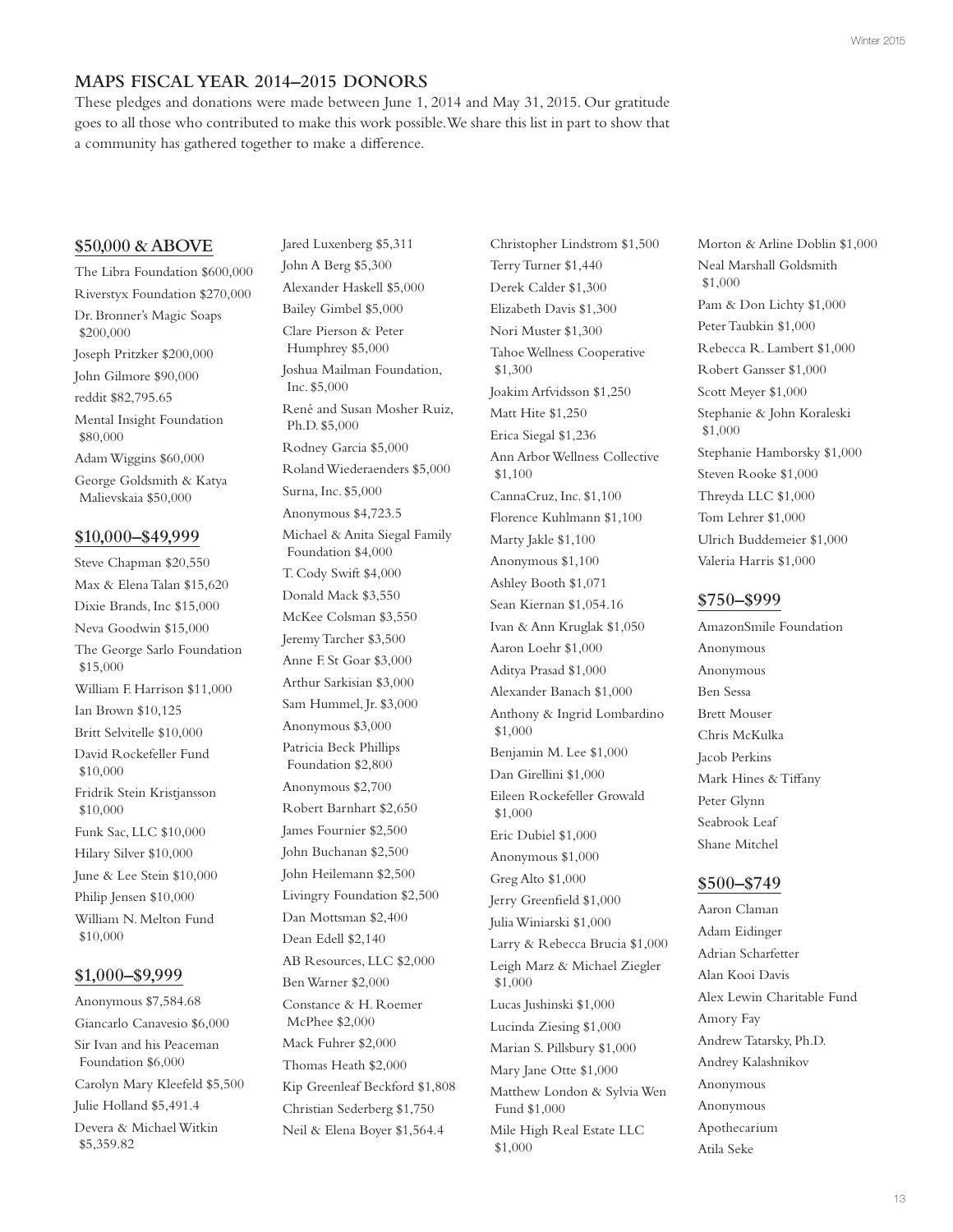## **MAPS FISCAL YEAR 2014–2015 DONORS**

These pledges and donations were made between June 1, 2014 and May 31, 2015. Our gratitude goes to all those who contributed to make this work possible. We share this list in part to show that a community has gathered together to make a diference.

#### **\$50,000 & ABOVE**

The Libra Foundation \$600,000 Riverstyx Foundation \$270,000 Dr. Bronner's Magic Soaps \$200,000 Joseph Pritzker \$200,000 John Gilmore \$90,000 reddit \$82,795.65 Mental Insight Foundation \$80,000 Adam Wiggins \$60,000 George Goldsmith & Katya Malievskaia \$50,000 **\$10,000–\$49,999**

Steve Chapman \$20,550 Max & Elena Talan \$15,620 Dixie Brands, Inc \$15,000 Neva Goodwin \$15,000 The George Sarlo Foundation \$15,000 William F. Harrison \$11,000 Ian Brown \$10,125 Britt Selvitelle \$10,000 David Rockefeller Fund \$10,000 Fridrik Stein Kristjansson \$10,000 Funk Sac, LLC \$10,000 Hilary Silver \$10,000 June & Lee Stein \$10,000 Philip Jensen \$10,000 William N. Melton Fund \$10,000

#### **\$1,000–\$9,999**

Anonymous \$7,584.68 Giancarlo Canavesio \$6,000 Sir Ivan and his Peaceman Foundation \$6,000 Carolyn Mary Kleefeld \$5,500 Julie Holland \$5,491.4 Devera & Michael Witkin \$5,359.82

Jared Luxenberg \$5,311 John A Berg \$5,300 Alexander Haskell \$5,000 Bailey Gimbel \$5,000 Clare Pierson & Peter Humphrey \$5,000 Joshua Mailman Foundation, Inc. \$5,000 René and Susan Mosher Ruiz, Ph.D. \$5,000 Rodney Garcia \$5,000 Roland Wiederaenders \$5,000 Surna, Inc. \$5,000 Anonymous \$4,723.5 Michael & Anita Siegal Family Foundation \$4,000 T. Cody Swift \$4,000 Donald Mack \$3,550 McKee Colsman \$3,550 Jeremy Tarcher \$3,500 Anne F. St Goar \$3,000 Arthur Sarkisian \$3,000 Sam Hummel, Jr. \$3,000 Anonymous \$3,000 Patricia Beck Phillips Foundation \$2,800 Anonymous \$2,700 Robert Barnhart \$2,650 James Fournier \$2,500 John Buchanan \$2,500 John Heilemann \$2,500 Livingry Foundation \$2,500 Dan Mottsman \$2,400 Dean Edell \$2,140 AB Resources, LLC \$2,000 Ben Warner \$2,000 Constance & H. Roemer McPhee \$2,000 Mack Fuhrer \$2,000 Thomas Heath \$2,000 Kip Greenleaf Beckford \$1,808 Christian Sederberg \$1,750 Neil & Elena Boyer \$1,564.4

Christopher Lindstrom \$1,500 Terry Turner \$1,440 Derek Calder \$1,300 Elizabeth Davis \$1,300 Nori Muster \$1,300 Tahoe Wellness Cooperative \$1,300 Joakim Arfvidsson \$1,250 Matt Hite \$1,250 Erica Siegal \$1,236 Ann Arbor Wellness Collective \$1,100 CannaCruz, Inc. \$1,100 Florence Kuhlmann \$1,100 Marty Jakle \$1,100 Anonymous \$1,100 Ashley Booth \$1,071 Sean Kiernan \$1,054.16 Ivan & Ann Kruglak \$1,050 Aaron Loehr \$1,000 Aditya Prasad \$1,000 Alexander Banach \$1,000 Anthony & Ingrid Lombardino \$1,000 Benjamin M. Lee \$1,000 Dan Girellini \$1,000 Eileen Rockefeller Growald \$1,000 Eric Dubiel \$1,000 Anonymous \$1,000 Greg Alto \$1,000 Jerry Greenfeld \$1,000 Julia Winiarski \$1,000 Larry & Rebecca Brucia \$1,000 Leigh Marz & Michael Ziegler \$1,000 Lucas Jushinski \$1,000 Lucinda Ziesing \$1,000 Marian S. Pillsbury \$1,000 Mary Jane Otte \$1,000 Matthew London & Sylvia Wen Fund \$1,000 Mile High Real Estate LLC \$1,000

Morton & Arline Doblin \$1,000 Neal Marshall Goldsmith \$1,000 Pam & Don Lichty \$1,000 Peter Taubkin \$1,000 Rebecca R. Lambert \$1,000 Robert Gansser \$1,000 Scott Meyer \$1,000 Stephanie & John Koraleski \$1,000 Stephanie Hamborsky \$1,000 Steven Rooke \$1,000 Threyda LLC \$1,000 Tom Lehrer \$1,000 Ulrich Buddemeier \$1,000 Valeria Harris \$1,000

#### **\$750–\$999**

AmazonSmile Foundation Anonymous Anonymous Ben Sessa Brett Mouser Chris McKulka Jacob Perkins Mark Hines & Tifany Peter Glynn Seabrook Leaf Shane Mitchel

### **\$500–\$749**

Aaron Claman Adam Eidinger Adrian Scharfetter Alan Kooi Davis Alex Lewin Charitable Fund Amory Fay Andrew Tatarsky, Ph.D. Andrey Kalashnikov Anonymous Anonymous Apothecarium Atila Seke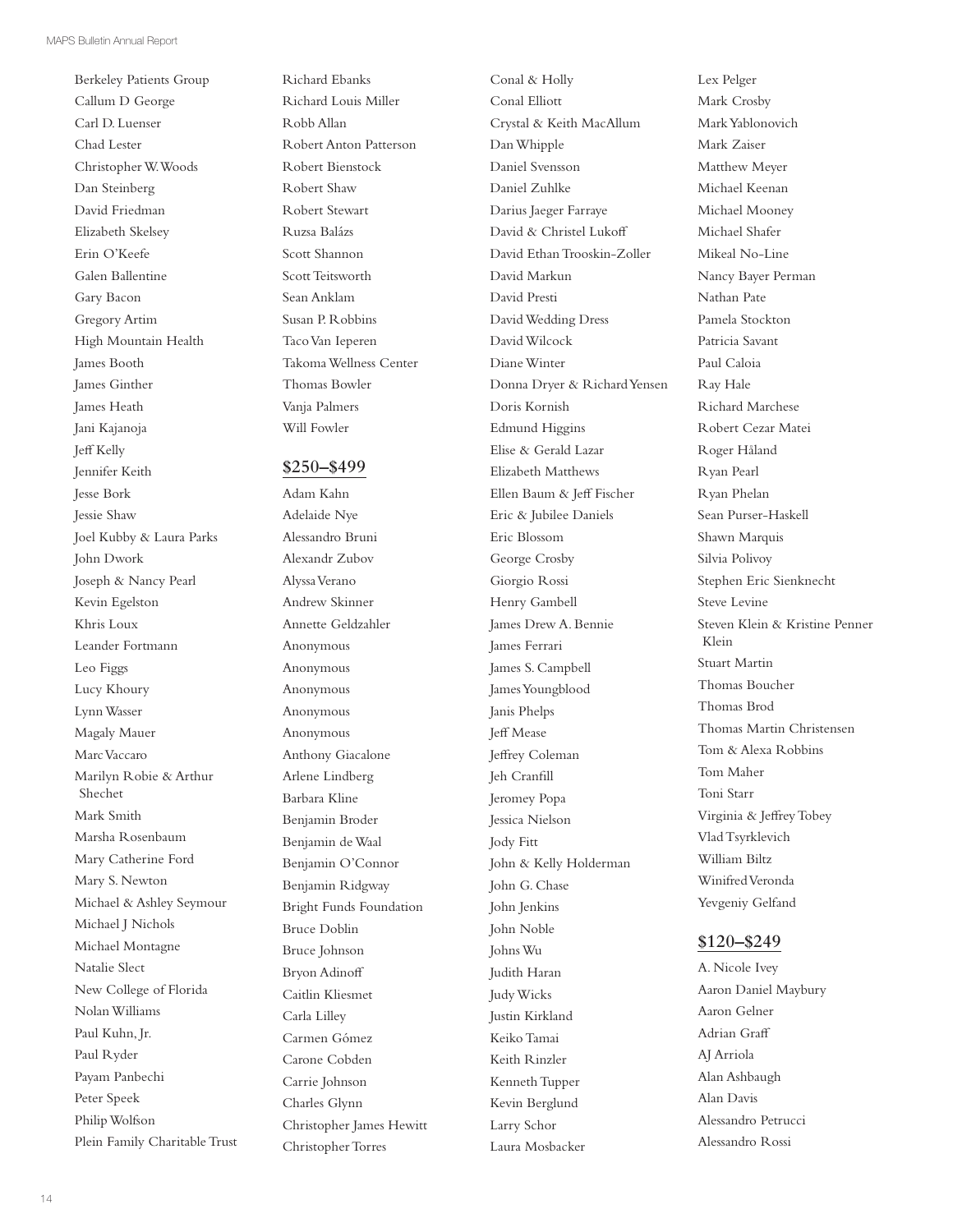Berkeley Patients Group Callum D George Carl D. Luenser Chad Lester Christopher W. Woods Dan Steinberg David Friedman Elizabeth Skelsey Erin O'Keefe Galen Ballentine Gary Bacon Gregory Artim High Mountain Health James Booth James Ginther James Heath Jani Kajanoja Jef Kelly Jennifer Keith Jesse Bork Jessie Shaw Joel Kubby & Laura Parks John Dwork Joseph & Nancy Pearl Kevin Egelston Khris Loux Leander Fortmann Leo Figgs Lucy Khoury Lynn Wasser Magaly Mauer Marc Vaccaro Marilyn Robie & Arthur Shechet Mark Smith Marsha Rosenbaum Mary Catherine Ford Mary S. Newton Michael & Ashley Seymour Michael J Nichols Michael Montagne Natalie Slect New College of Florida Nolan Williams Paul Kuhn, Jr. Paul Ryder Payam Panbechi Peter Speek Philip Wolfson Plein Family Charitable Trust Richard Ebanks Richard Louis Miller Robb Allan Robert Anton Patterson Robert Bienstock Robert Shaw Robert Stewart Ruzsa Balázs Scott Shannon Scott Teitsworth Sean Anklam Susan P. Robbins Taco Van Ieperen Takoma Wellness Center Thomas Bowler Vanja Palmers Will Fowler

#### **\$250–\$499**

Adam Kahn Adelaide Nye Alessandro Bruni Alexandr Zubov Alyssa Verano Andrew Skinner Annette Geldzahler Anonymous Anonymous Anonymous Anonymous Anonymous Anthony Giacalone Arlene Lindberg Barbara Kline Benjamin Broder Benjamin de Waal Benjamin O'Connor Benjamin Ridgway Bright Funds Foundation Bruce Doblin Bruce Johnson Bryon Adinof Caitlin Kliesmet Carla Lilley Carmen Gómez Carone Cobden Carrie Johnson Charles Glynn Christopher James Hewitt Christopher Torres

Conal & Holly Conal Elliott Crystal & Keith MacAllum Dan Whipple Daniel Svensson Daniel Zuhlke Darius Jaeger Farraye David & Christel Lukof David Ethan Trooskin-Zoller David Markun David Presti David Wedding Dress David Wilcock Diane Winter Donna Dryer & Richard Yensen Doris Kornish Edmund Higgins Elise & Gerald Lazar Elizabeth Matthews Ellen Baum & Jef Fischer Eric & Jubilee Daniels Eric Blossom George Crosby Giorgio Rossi Henry Gambell James Drew A. Bennie James Ferrari James S. Campbell James Youngblood Janis Phelps Jeff Mease Jefrey Coleman Jeh Cranfll Jeromey Popa Jessica Nielson Jody Fitt John & Kelly Holderman John G. Chase John Jenkins John Noble Johns Wu Judith Haran Judy Wicks Justin Kirkland Keiko Tamai Keith Rinzler Kenneth Tupper Kevin Berglund

Larry Schor Laura Mosbacker Lex Pelger Mark Crosby Mark Yablonovich Mark Zaiser Matthew Meyer Michael Keenan Michael Mooney Michael Shafer Mikeal No-Line Nancy Bayer Perman Nathan Pate Pamela Stockton Patricia Savant Paul Caloia Ray Hale Richard Marchese Robert Cezar Matei Roger Håland Ryan Pearl Ryan Phelan Sean Purser-Haskell Shawn Marquis Silvia Polivoy Stephen Eric Sienknecht Steve Levine Steven Klein & Kristine Penner Klein Stuart Martin Thomas Boucher Thomas Brod Thomas Martin Christensen Tom & Alexa Robbins Tom Maher Toni Starr Virginia & Jefrey Tobey Vlad Tsyrklevich William Biltz Winifred Veronda Yevgeniy Gelfand

#### **\$120–\$249**

A. Nicole Ivey Aaron Daniel Maybury Aaron Gelner Adrian Graf AJ Arriola Alan Ashbaugh Alan Davis Alessandro Petrucci Alessandro Rossi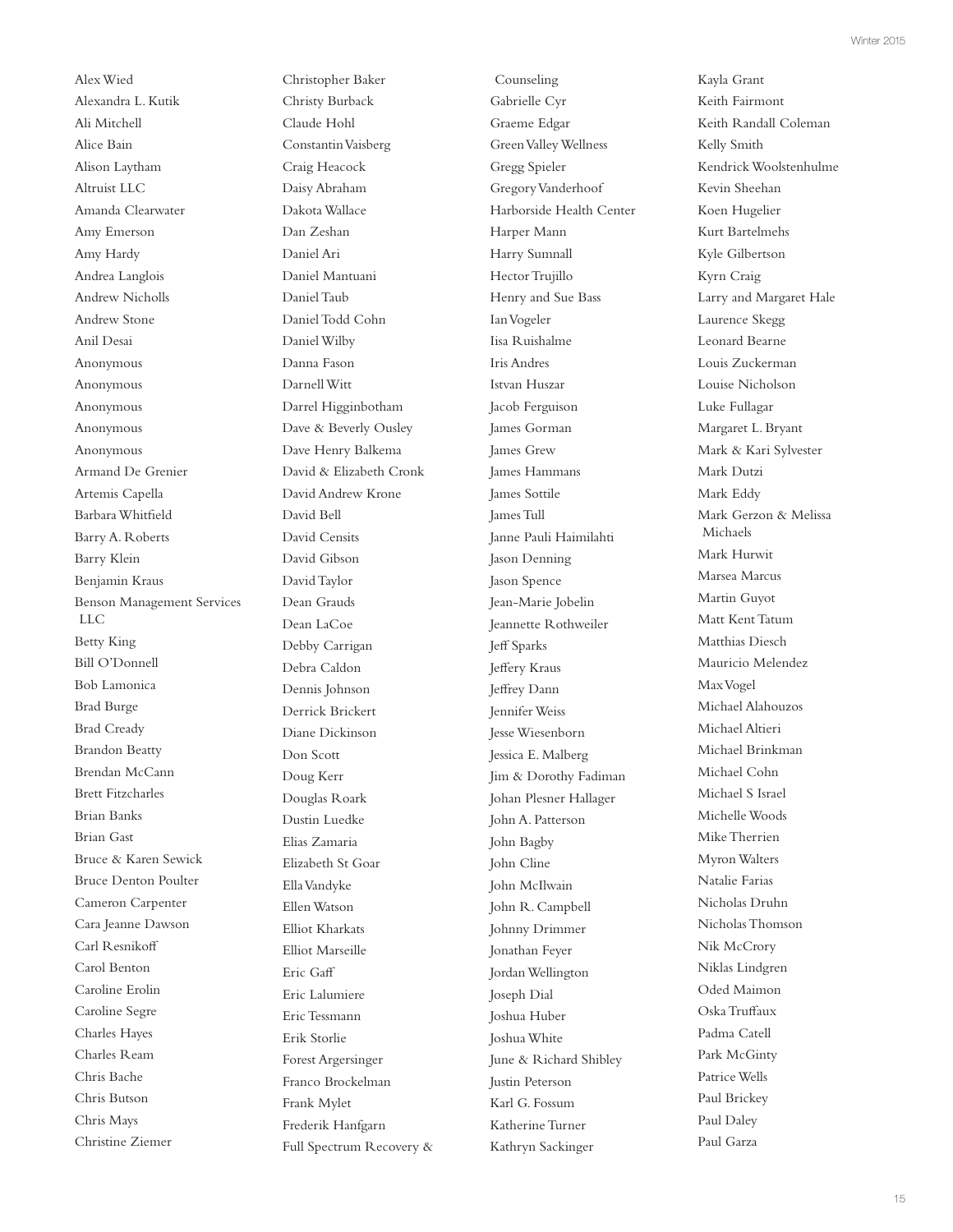Alex Wied Alexandra L. Kutik Ali Mitchell Alice Bain Alison Laytham Altruist LLC Amanda Clearwater Amy Emerson Amy Hardy Andrea Langlois Andrew Nicholls Andrew Stone Anil Desai Anonymous Anonymous Anonymous Anonymous Anonymous Armand De Grenier Artemis Capella Barbara Whitfeld Barry A. Roberts Barry Klein Benjamin Kraus Benson Management Services LLC Betty King Bill O'Donnell Bob Lamonica Brad Burge Brad Cready Brandon Beatty Brendan McCann Brett Fitzcharles Brian Banks Brian Gast Bruce & Karen Sewick Bruce Denton Poulter Cameron Carpenter Cara Jeanne Dawson Carl Resnikof Carol Benton Caroline Erolin Caroline Segre Charles Hayes Charles Ream Chris Bache Chris Butson Chris Mays Christine Ziemer

Christopher Baker Christy Burback Claude Hohl Constantin Vaisberg Craig Heacock Daisy Abraham Dakota Wallace Dan Zeshan Daniel Ari Daniel Mantuani Daniel Taub Daniel Todd Cohn Daniel Wilby Danna Fason Darnell Witt Darrel Higginbotham Dave & Beverly Ousley Dave Henry Balkema David & Elizabeth Cronk David Andrew Krone David Bell David Censits David Gibson David Taylor Dean Grauds Dean LaCoe Debby Carrigan Debra Caldon Dennis Johnson Derrick Brickert Diane Dickinson Don Scott Doug Kerr Douglas Roark Dustin Luedke Elias Zamaria Elizabeth St Goar Ella Vandyke Ellen Watson Elliot Kharkats Elliot Marseille Eric Gaf Eric Lalumiere Eric Tessmann Erik Storlie Forest Argersinger Franco Brockelman Frank Mylet Frederik Hanfgarn Full Spectrum Recovery &

Counseling Gabrielle Cyr Graeme Edgar Green Valley Wellness Gregg Spieler Gregory Vanderhoof Harborside Health Center Harper Mann Harry Sumnall Hector Trujillo Henry and Sue Bass Ian Vogeler Iisa Ruishalme Iris Andres Istvan Huszar Jacob Ferguison James Gorman James Grew James Hammans James Sottile James Tull Janne Pauli Haimilahti Jason Denning Jason Spence Jean-Marie Jobelin Jeannette Rothweiler Jeff Sparks Jefery Kraus Jefrey Dann Jennifer Weiss Jesse Wiesenborn Jessica E. Malberg Jim & Dorothy Fadiman Johan Plesner Hallager John A. Patterson John Bagby John Cline John McIlwain John R. Campbell Johnny Drimmer Jonathan Feyer Jordan Wellington Joseph Dial Joshua Huber Joshua White June & Richard Shibley Justin Peterson Karl G. Fossum Katherine Turner Kathryn Sackinger

Keith Fairmont Keith Randall Coleman Kelly Smith Kendrick Woolstenhulme Kevin Sheehan Koen Hugelier Kurt Bartelmehs Kyle Gilbertson Kyrn Craig Larry and Margaret Hale Laurence Skegg Leonard Bearne Louis Zuckerman Louise Nicholson Luke Fullagar Margaret L. Bryant Mark & Kari Sylvester Mark Dutzi Mark Eddy Mark Gerzon & Melissa Michaels Mark Hurwit Marsea Marcus Martin Guyot Matt Kent Tatum Matthias Diesch Mauricio Melendez Max Vogel Michael Alahouzos Michael Altieri Michael Brinkman Michael Cohn Michael S Israel Michelle Woods Mike Therrien Myron Walters Natalie Farias Nicholas Druhn Nicholas Thomson Nik McCrory Niklas Lindgren Oded Maimon Oska Trufaux Padma Catell Park McGinty Patrice Wells Paul Brickey Paul Daley Paul Garza

Kayla Grant